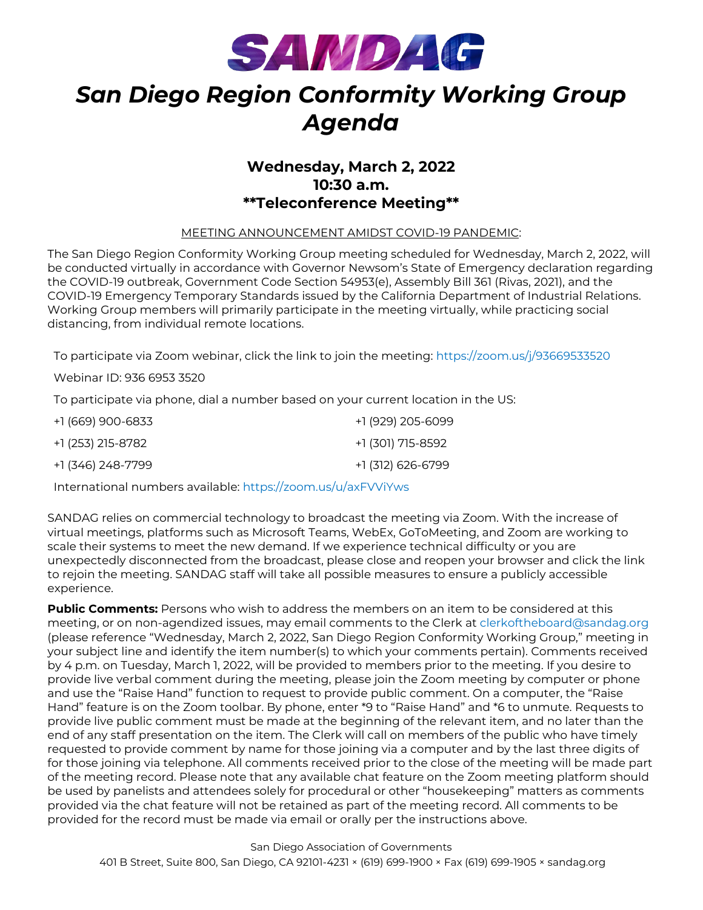

# *San Diego Region Conformity Working Group Agenda*

### **Wednesday, March 2, 2022 10:30 a.m. \*\*Teleconference Meeting\*\***

#### MEETING ANNOUNCEMENT AMIDST COVID-19 PANDEMIC:

The San Diego Region Conformity Working Group meeting scheduled for Wednesday, March 2, 2022, will be conducted virtually in accordance with Governor Newsom's State of Emergency declaration regarding the COVID-19 outbreak, Government Code Section 54953(e), Assembly Bill 361 (Rivas, 2021), and the COVID-19 Emergency Temporary Standards issued by the California Department of Industrial Relations. Working Group members will primarily participate in the meeting virtually, while practicing social distancing, from individual remote locations.

To participate via Zoom webinar, click the link to join the meeting: <https://zoom.us/j/93669533520>

Webinar ID: 936 6953 3520

To participate via phone, dial a number based on your current location in the US:

| +1 (669) 900-6833 | +1 (929) 205-6099 |
|-------------------|-------------------|
| +1 (253) 215-8782 | +1 (301) 715-8592 |
| +1 (346) 248-7799 | +1 (312) 626-6799 |

International numbers available: <https://zoom.us/u/axFVViYws>

SANDAG relies on commercial technology to broadcast the meeting via Zoom. With the increase of virtual meetings, platforms such as Microsoft Teams, WebEx, GoToMeeting, and Zoom are working to scale their systems to meet the new demand. If we experience technical difficulty or you are unexpectedly disconnected from the broadcast, please close and reopen your browser and click the link to rejoin the meeting. SANDAG staff will take all possible measures to ensure a publicly accessible experience.

**Public Comments:** Persons who wish to address the members on an item to be considered at this meeting, or on non-agendized issues, may email comments to the Clerk at [clerkoftheboard@sandag.org](mailto:clerkoftheboard@sandag.org) (please reference "Wednesday, March 2, 2022, San Diego Region Conformity Working Group," meeting in your subject line and identify the item number(s) to which your comments pertain). Comments received by 4 p.m. on Tuesday, March 1, 2022, will be provided to members prior to the meeting. If you desire to provide live verbal comment during the meeting, please join the Zoom meeting by computer or phone and use the "Raise Hand" function to request to provide public comment. On a computer, the "Raise Hand" feature is on the Zoom toolbar. By phone, enter \*9 to "Raise Hand" and \*6 to unmute. Requests to provide live public comment must be made at the beginning of the relevant item, and no later than the end of any staff presentation on the item. The Clerk will call on members of the public who have timely requested to provide comment by name for those joining via a computer and by the last three digits of for those joining via telephone. All comments received prior to the close of the meeting will be made part of the meeting record. Please note that any available chat feature on the Zoom meeting platform should be used by panelists and attendees solely for procedural or other "housekeeping" matters as comments provided via the chat feature will not be retained as part of the meeting record. All comments to be provided for the record must be made via email or orally per the instructions above.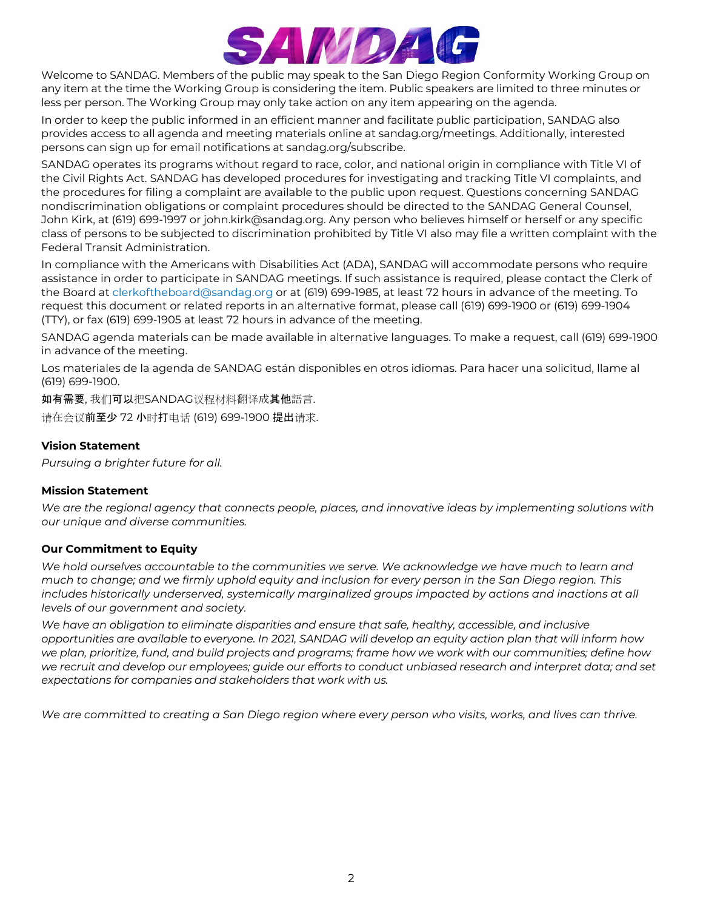

Welcome to SANDAG. Members of the public may speak to the San Diego Region Conformity Working Group on any item at the time the Working Group is considering the item. Public speakers are limited to three minutes or less per person. The Working Group may only take action on any item appearing on the agenda.

In order to keep the public informed in an efficient manner and facilitate public participation, SANDAG also provides access to all agenda and meeting materials online at sandag.org/meetings. Additionally, interested persons can sign up for email notifications at sandag.org/subscribe.

SANDAG operates its programs without regard to race, color, and national origin in compliance with Title VI of the Civil Rights Act. SANDAG has developed procedures for investigating and tracking Title VI complaints, and the procedures for filing a complaint are available to the public upon request. Questions concerning SANDAG nondiscrimination obligations or complaint procedures should be directed to the SANDAG General Counsel, John Kirk, at (619) 699-1997 or john.kirk@sandag.org. Any person who believes himself or herself or any specific class of persons to be subjected to discrimination prohibited by Title VI also may file a written complaint with the Federal Transit Administration.

In compliance with the Americans with Disabilities Act (ADA), SANDAG will accommodate persons who require assistance in order to participate in SANDAG meetings. If such assistance is required, please contact the Clerk of the Board at [clerkoftheboard@sandag.org](mailto:clerkoftheboard@sandag.org) or at (619) 699-1985, at least 72 hours in advance of the meeting. To request this document or related reports in an alternative format, please call (619) 699-1900 or (619) 699-1904 (TTY), or fax (619) 699-1905 at least 72 hours in advance of the meeting.

SANDAG agenda materials can be made available in alternative languages. To make a request, call (619) 699-1900 in advance of the meeting.

Los materiales de la agenda de SANDAG están disponibles en otros idiomas. Para hacer una solicitud, llame al (619) 699-1900.

如有需要, 我们可以把SANDAG议程材料翻译成其他語言.

请在会议前至少 72 小时打电话 (619) 699-1900 提出请求.

#### **Vision Statement**

*Pursuing a brighter future for all.*

#### **Mission Statement**

*We are the regional agency that connects people, places, and innovative ideas by implementing solutions with our unique and diverse communities.*

#### **Our Commitment to Equity**

*We hold ourselves accountable to the communities we serve. We acknowledge we have much to learn and much to change; and we firmly uphold equity and inclusion for every person in the San Diego region. This*  includes historically underserved, systemically marginalized groups impacted by actions and inactions at all *levels of our government and society.*

*We have an obligation to eliminate disparities and ensure that safe, healthy, accessible, and inclusive opportunities are available to everyone. In 2021, SANDAG will develop an equity action plan that will inform how we plan, prioritize, fund, and build projects and programs; frame how we work with our communities; define how we recruit and develop our employees; guide our efforts to conduct unbiased research and interpret data; and set expectations for companies and stakeholders that work with us.*

*We are committed to creating a San Diego region where every person who visits, works, and lives can thrive.*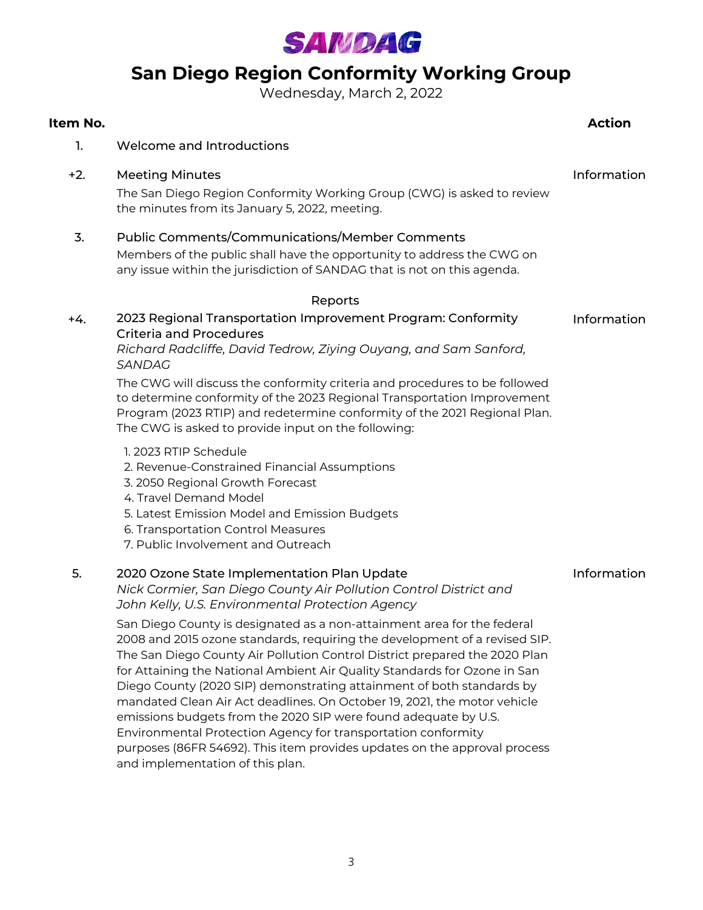

# **San Diego Region Conformity Working Group**

Wednesday, March 2, 2022

#### **Item No. Action**

- 1. Welcome and Introductions
- +2. Meeting Minutes Information

The San Diego Region Conformity Working Group (CWG) is asked to review the minutes from its January 5, 2022, meeting.

#### 3. Public Comments/Communications/Member Comments

Members of the public shall have the opportunity to address the CWG on any issue within the jurisdiction of SANDAG that is not on this agenda.

#### Reports

#### +4. Information 2023 Regional Transportation Improvement Program: Conformity Criteria and Procedures

*Richard Radcliffe, David Tedrow, Ziying Ouyang, and Sam Sanford, SANDAG*

The CWG will discuss the conformity criteria and procedures to be followed to determine conformity of the 2023 Regional Transportation Improvement Program (2023 RTIP) and redetermine conformity of the 2021 Regional Plan. The CWG is asked to provide input on the following:

- 1. 2023 RTIP Schedule
- 2. Revenue-Constrained Financial Assumptions
- 3. 2050 Regional Growth Forecast
- 4. Travel Demand Model
- 5. Latest Emission Model and Emission Budgets
- 6. Transportation Control Measures
- 7. Public Involvement and Outreach

#### 5. 2020 Ozone State Implementation Plan Update

Information

*Nick Cormier, San Diego County Air Pollution Control District and John Kelly, U.S. Environmental Protection Agency*

San Diego County is designated as a non-attainment area for the federal 2008 and 2015 ozone standards, requiring the development of a revised SIP. The San Diego County Air Pollution Control District prepared the 2020 Plan for Attaining the National Ambient Air Quality Standards for Ozone in San Diego County (2020 SIP) demonstrating attainment of both standards by mandated Clean Air Act deadlines. On October 19, 2021, the motor vehicle emissions budgets from the 2020 SIP were found adequate by U.S. Environmental Protection Agency for transportation conformity purposes (86FR 54692). This item provides updates on the approval process and implementation of this plan.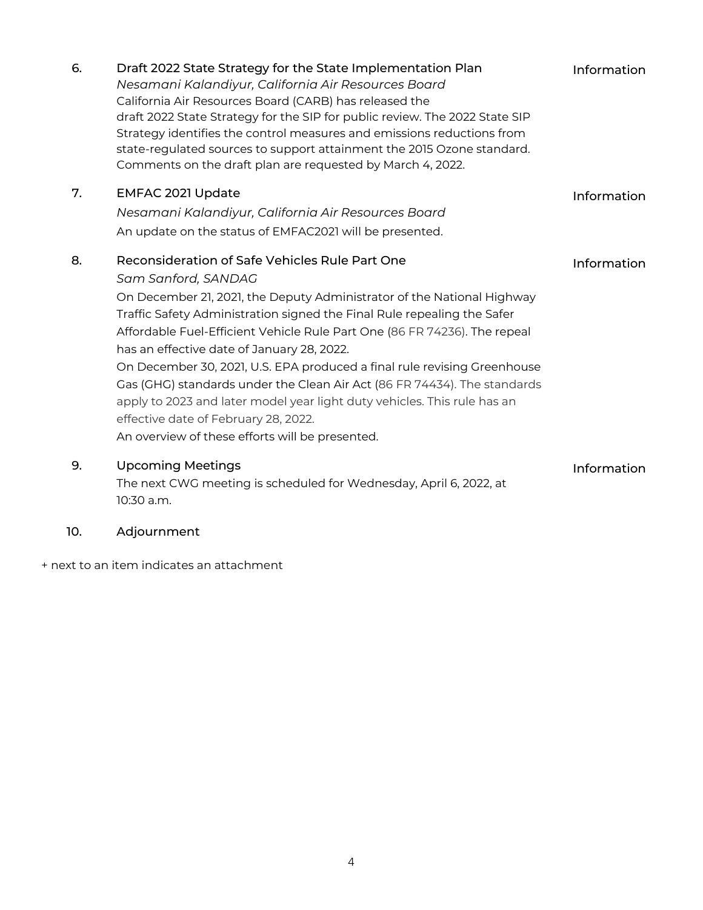| 6. | Draft 2022 State Strategy for the State Implementation Plan<br>Nesamani Kalandiyur, California Air Resources Board<br>California Air Resources Board (CARB) has released the<br>draft 2022 State Strategy for the SIP for public review. The 2022 State SIP<br>Strategy identifies the control measures and emissions reductions from<br>state-regulated sources to support attainment the 2015 Ozone standard.<br>Comments on the draft plan are requested by March 4, 2022. | Information |
|----|-------------------------------------------------------------------------------------------------------------------------------------------------------------------------------------------------------------------------------------------------------------------------------------------------------------------------------------------------------------------------------------------------------------------------------------------------------------------------------|-------------|
| 7. | EMFAC 2021 Update                                                                                                                                                                                                                                                                                                                                                                                                                                                             | Information |
|    | Nesamani Kalandiyur, California Air Resources Board                                                                                                                                                                                                                                                                                                                                                                                                                           |             |
|    | An update on the status of EMFAC2021 will be presented.                                                                                                                                                                                                                                                                                                                                                                                                                       |             |
| 8. | Reconsideration of Safe Vehicles Rule Part One                                                                                                                                                                                                                                                                                                                                                                                                                                | Information |
|    | Sam Sanford, SANDAG                                                                                                                                                                                                                                                                                                                                                                                                                                                           |             |
|    | On December 21, 2021, the Deputy Administrator of the National Highway                                                                                                                                                                                                                                                                                                                                                                                                        |             |
|    | Traffic Safety Administration signed the Final Rule repealing the Safer                                                                                                                                                                                                                                                                                                                                                                                                       |             |
|    | Affordable Fuel-Efficient Vehicle Rule Part One (86 FR 74236). The repeal<br>has an effective date of January 28, 2022.                                                                                                                                                                                                                                                                                                                                                       |             |
|    | On December 30, 2021, U.S. EPA produced a final rule revising Greenhouse                                                                                                                                                                                                                                                                                                                                                                                                      |             |
|    | Gas (GHG) standards under the Clean Air Act (86 FR 74434). The standards                                                                                                                                                                                                                                                                                                                                                                                                      |             |
|    | apply to 2023 and later model year light duty vehicles. This rule has an                                                                                                                                                                                                                                                                                                                                                                                                      |             |
|    | effective date of February 28, 2022.                                                                                                                                                                                                                                                                                                                                                                                                                                          |             |
|    | An overview of these efforts will be presented.                                                                                                                                                                                                                                                                                                                                                                                                                               |             |
| 9. | <b>Upcoming Meetings</b>                                                                                                                                                                                                                                                                                                                                                                                                                                                      | Information |
|    | The next CWG meeting is scheduled for Wednesday, April 6, 2022, at<br>10:30 a.m.                                                                                                                                                                                                                                                                                                                                                                                              |             |

### 10. Adjournment

+ next to an item indicates an attachment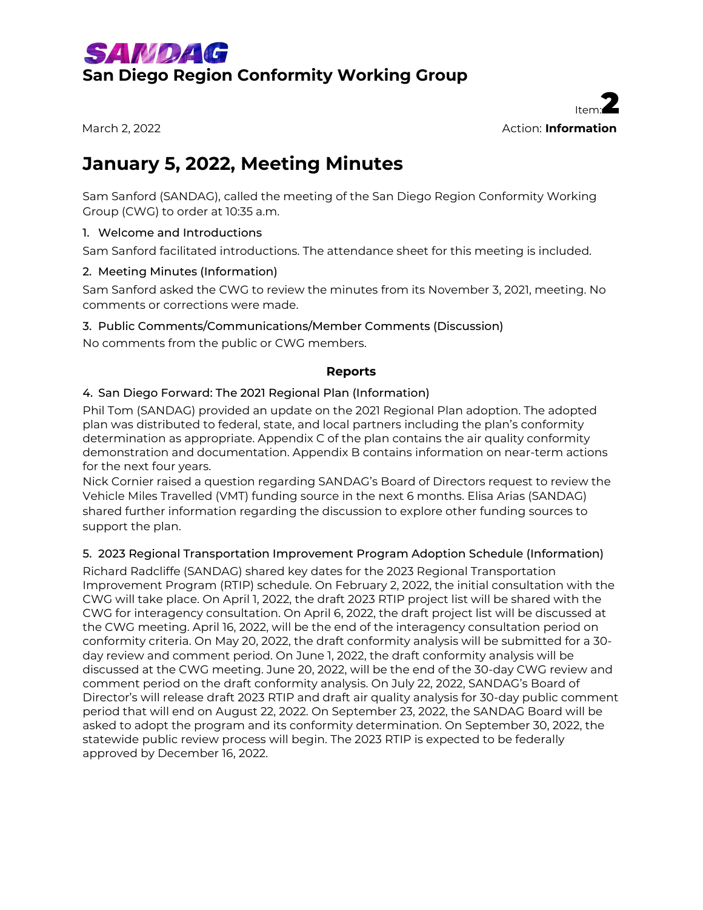



# **January 5, 2022, Meeting Minutes**

Sam Sanford (SANDAG), called the meeting of the San Diego Region Conformity Working Group (CWG) to order at 10:35 a.m.

#### 1. Welcome and Introductions

Sam Sanford facilitated introductions. The attendance sheet for this meeting is included.

#### 2. Meeting Minutes (Information)

Sam Sanford asked the CWG to review the minutes from its November 3, 2021, meeting. No comments or corrections were made.

#### 3. Public Comments/Communications/Member Comments (Discussion)

No comments from the public or CWG members.

#### **Reports**

#### 4. San Diego Forward: The 2021 Regional Plan (Information)

Phil Tom (SANDAG) provided an update on the 2021 Regional Plan adoption. The adopted plan was distributed to federal, state, and local partners including the plan's conformity determination as appropriate. Appendix C of the plan contains the air quality conformity demonstration and documentation. Appendix B contains information on near-term actions for the next four years.

Nick Cornier raised a question regarding SANDAG's Board of Directors request to review the Vehicle Miles Travelled (VMT) funding source in the next 6 months. Elisa Arias (SANDAG) shared further information regarding the discussion to explore other funding sources to support the plan.

#### 5. 2023 Regional Transportation Improvement Program Adoption Schedule (Information)

Richard Radcliffe (SANDAG) shared key dates for the 2023 Regional Transportation Improvement Program (RTIP) schedule. On February 2, 2022, the initial consultation with the CWG will take place. On April 1, 2022, the draft 2023 RTIP project list will be shared with the CWG for interagency consultation. On April 6, 2022, the draft project list will be discussed at the CWG meeting. April 16, 2022, will be the end of the interagency consultation period on conformity criteria. On May 20, 2022, the draft conformity analysis will be submitted for a 30 day review and comment period. On June 1, 2022, the draft conformity analysis will be discussed at the CWG meeting. June 20, 2022, will be the end of the 30-day CWG review and comment period on the draft conformity analysis. On July 22, 2022, SANDAG's Board of Director's will release draft 2023 RTIP and draft air quality analysis for 30-day public comment period that will end on August 22, 2022. On September 23, 2022, the SANDAG Board will be asked to adopt the program and its conformity determination. On September 30, 2022, the statewide public review process will begin. The 2023 RTIP is expected to be federally approved by December 16, 2022.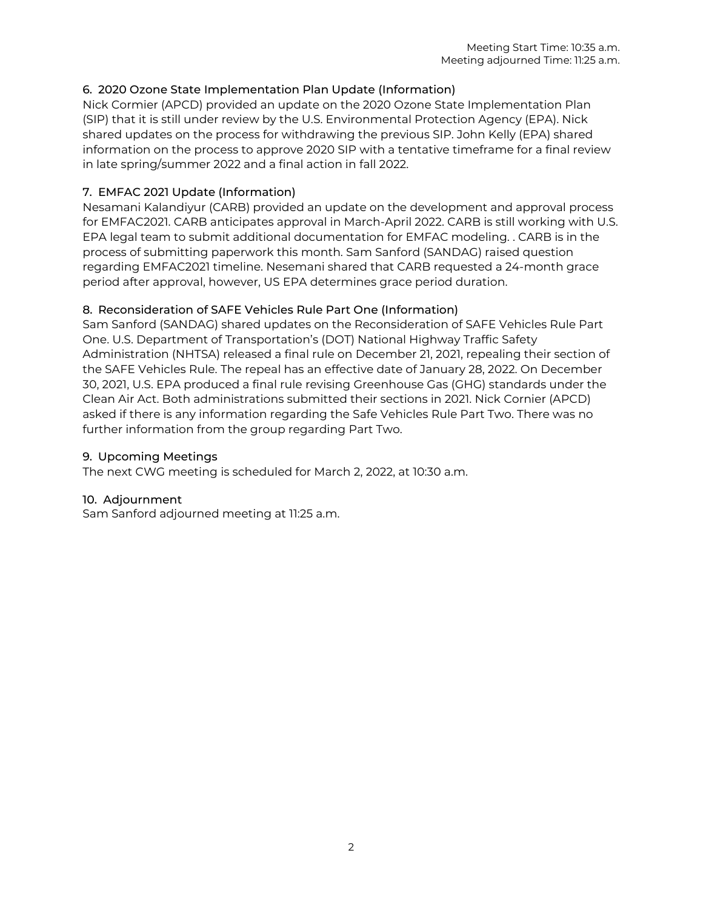#### 6. 2020 Ozone State Implementation Plan Update (Information)

Nick Cormier (APCD) provided an update on the 2020 Ozone State Implementation Plan (SIP) that it is still under review by the U.S. Environmental Protection Agency (EPA). Nick shared updates on the process for withdrawing the previous SIP. John Kelly (EPA) shared information on the process to approve 2020 SIP with a tentative timeframe for a final review in late spring/summer 2022 and a final action in fall 2022.

#### 7. EMFAC 2021 Update (Information)

Nesamani Kalandiyur (CARB) provided an update on the development and approval process for EMFAC2021. CARB anticipates approval in March-April 2022. CARB is still working with U.S. EPA legal team to submit additional documentation for EMFAC modeling. . CARB is in the process of submitting paperwork this month. Sam Sanford (SANDAG) raised question regarding EMFAC2021 timeline. Nesemani shared that CARB requested a 24-month grace period after approval, however, US EPA determines grace period duration.

#### 8. Reconsideration of SAFE Vehicles Rule Part One (Information)

Sam Sanford (SANDAG) shared updates on the Reconsideration of SAFE Vehicles Rule Part One. U.S. Department of Transportation's (DOT) National Highway Traffic Safety Administration (NHTSA) released a final rule on December 21, 2021, repealing their section of the SAFE Vehicles Rule. The repeal has an effective date of January 28, 2022. On December 30, 2021, U.S. EPA produced a final rule revising Greenhouse Gas (GHG) standards under the Clean Air Act. Both administrations submitted their sections in 2021. Nick Cornier (APCD) asked if there is any information regarding the Safe Vehicles Rule Part Two. There was no further information from the group regarding Part Two.

#### 9. Upcoming Meetings

The next CWG meeting is scheduled for March 2, 2022, at 10:30 a.m.

#### 10. Adjournment

Sam Sanford adjourned meeting at 11:25 a.m.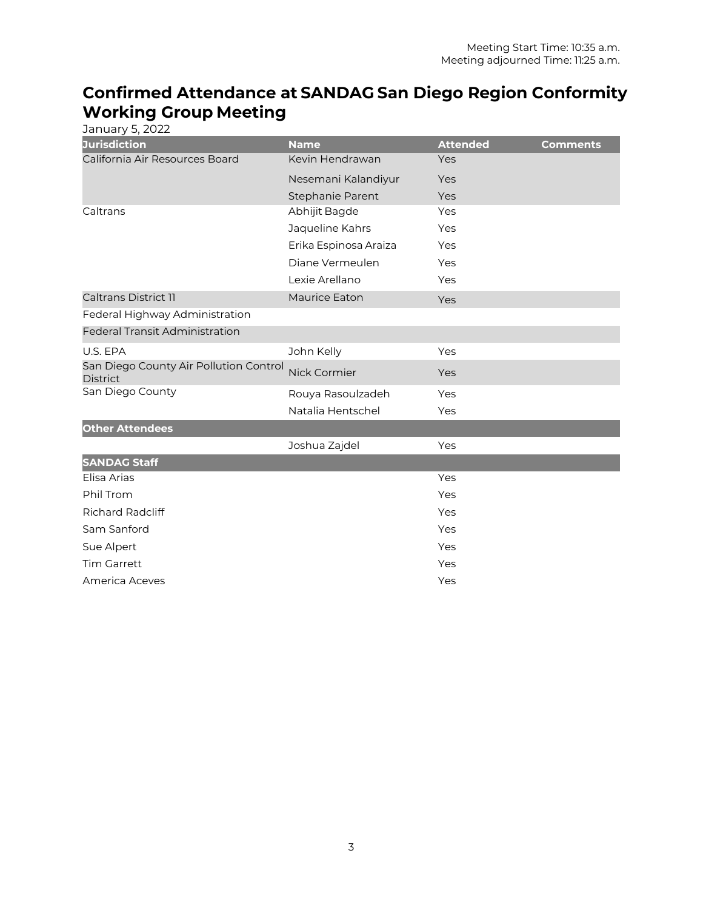# **Confirmed Attendance at SANDAG San Diego Region Conformity Working Group Meeting**

| January 5, 2022                                           |                       |                 |                 |
|-----------------------------------------------------------|-----------------------|-----------------|-----------------|
| <b>Jurisdiction</b>                                       | <b>Name</b>           | <b>Attended</b> | <b>Comments</b> |
| California Air Resources Board                            | Kevin Hendrawan       | Yes             |                 |
|                                                           | Nesemani Kalandiyur   | Yes             |                 |
|                                                           | Stephanie Parent      | Yes             |                 |
| Caltrans                                                  | Abhijit Bagde         | Yes             |                 |
|                                                           | Jaqueline Kahrs       | Yes             |                 |
|                                                           | Erika Espinosa Araiza | Yes             |                 |
|                                                           | Diane Vermeulen       | Yes             |                 |
|                                                           | Lexie Arellano        | Yes             |                 |
| <b>Caltrans District 11</b>                               | <b>Maurice Eaton</b>  | Yes             |                 |
| Federal Highway Administration                            |                       |                 |                 |
| <b>Federal Transit Administration</b>                     |                       |                 |                 |
| U.S. EPA                                                  | John Kelly            | Yes             |                 |
| San Diego County Air Pollution Control<br><b>District</b> | Nick Cormier          | Yes             |                 |
| San Diego County                                          | Rouya Rasoulzadeh     | Yes             |                 |
|                                                           | Natalia Hentschel     | Yes             |                 |
| <b>Other Attendees</b>                                    |                       |                 |                 |
|                                                           | Joshua Zajdel         | Yes             |                 |
| <b>SANDAG Staff</b>                                       |                       |                 |                 |
| Elisa Arias                                               |                       | Yes             |                 |
| Phil Trom                                                 |                       | Yes             |                 |
| <b>Richard Radcliff</b>                                   |                       | Yes             |                 |
| Sam Sanford                                               |                       | Yes             |                 |
| Sue Alpert                                                |                       | Yes             |                 |
| <b>Tim Garrett</b>                                        |                       | Yes             |                 |
| America Aceves                                            |                       | Yes             |                 |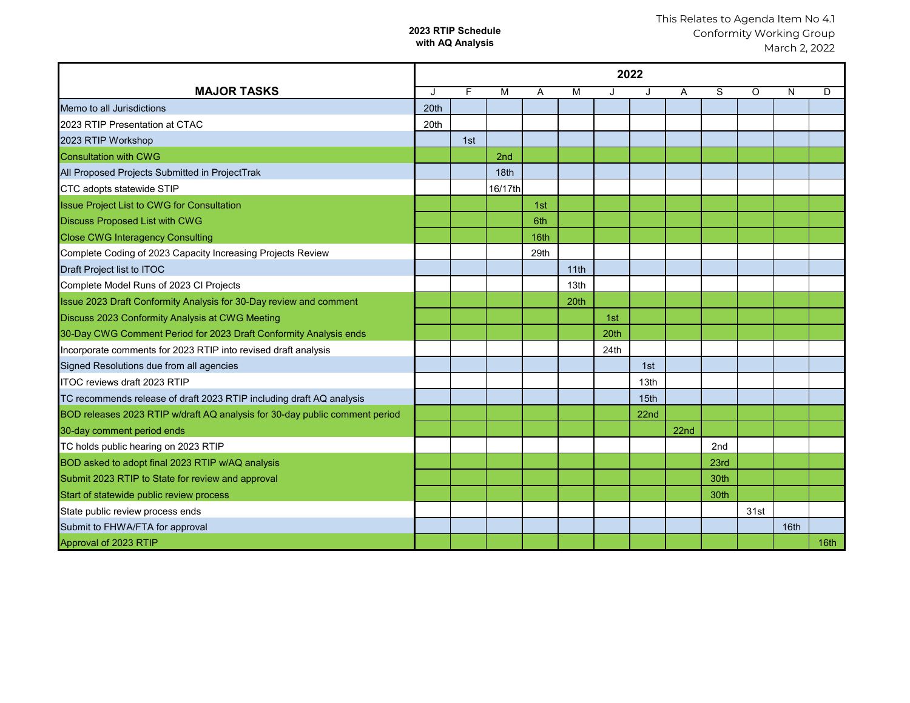#### **2023 RTIP Schedule with AQ Analysis**

|                                                                             | 2022 |     |                 |      |      |      |                  |      |      |         |      |                  |
|-----------------------------------------------------------------------------|------|-----|-----------------|------|------|------|------------------|------|------|---------|------|------------------|
| <b>MAJOR TASKS</b>                                                          | J.   | F   | M               | Α    | M    | J    | J                | Α    | S    | $\circ$ | N    | D                |
| Memo to all Jurisdictions                                                   | 20th |     |                 |      |      |      |                  |      |      |         |      |                  |
| 2023 RTIP Presentation at CTAC                                              | 20th |     |                 |      |      |      |                  |      |      |         |      |                  |
| 2023 RTIP Workshop                                                          |      | 1st |                 |      |      |      |                  |      |      |         |      |                  |
| <b>Consultation with CWG</b>                                                |      |     | 2 <sub>nd</sub> |      |      |      |                  |      |      |         |      |                  |
| All Proposed Projects Submitted in ProjectTrak                              |      |     | 18th            |      |      |      |                  |      |      |         |      |                  |
| CTC adopts statewide STIP                                                   |      |     | 16/17th         |      |      |      |                  |      |      |         |      |                  |
| <b>Issue Project List to CWG for Consultation</b>                           |      |     |                 | 1st  |      |      |                  |      |      |         |      |                  |
| <b>Discuss Proposed List with CWG</b>                                       |      |     |                 | 6th  |      |      |                  |      |      |         |      |                  |
| <b>Close CWG Interagency Consulting</b>                                     |      |     |                 | 16th |      |      |                  |      |      |         |      |                  |
| Complete Coding of 2023 Capacity Increasing Projects Review                 |      |     |                 | 29th |      |      |                  |      |      |         |      |                  |
| Draft Project list to ITOC                                                  |      |     |                 |      | 11th |      |                  |      |      |         |      |                  |
| Complete Model Runs of 2023 CI Projects                                     |      |     |                 |      | 13th |      |                  |      |      |         |      |                  |
| Issue 2023 Draft Conformity Analysis for 30-Day review and comment          |      |     |                 |      | 20th |      |                  |      |      |         |      |                  |
| Discuss 2023 Conformity Analysis at CWG Meeting                             |      |     |                 |      |      | 1st  |                  |      |      |         |      |                  |
| 30-Day CWG Comment Period for 2023 Draft Conformity Analysis ends           |      |     |                 |      |      | 20th |                  |      |      |         |      |                  |
| Incorporate comments for 2023 RTIP into revised draft analysis              |      |     |                 |      |      | 24th |                  |      |      |         |      |                  |
| Signed Resolutions due from all agencies                                    |      |     |                 |      |      |      | 1st              |      |      |         |      |                  |
| <b>ITOC reviews draft 2023 RTIP</b>                                         |      |     |                 |      |      |      | 13 <sub>th</sub> |      |      |         |      |                  |
| TC recommends release of draft 2023 RTIP including draft AQ analysis        |      |     |                 |      |      |      | 15th             |      |      |         |      |                  |
| BOD releases 2023 RTIP w/draft AQ analysis for 30-day public comment period |      |     |                 |      |      |      | 22 <sub>nd</sub> |      |      |         |      |                  |
| 30-day comment period ends                                                  |      |     |                 |      |      |      |                  | 22nd |      |         |      |                  |
| TC holds public hearing on 2023 RTIP                                        |      |     |                 |      |      |      |                  |      | 2nd  |         |      |                  |
| BOD asked to adopt final 2023 RTIP w/AQ analysis                            |      |     |                 |      |      |      |                  |      | 23rd |         |      |                  |
| Submit 2023 RTIP to State for review and approval                           |      |     |                 |      |      |      |                  |      | 30th |         |      |                  |
| Start of statewide public review process                                    |      |     |                 |      |      |      |                  |      | 30th |         |      |                  |
| State public review process ends                                            |      |     |                 |      |      |      |                  |      |      | 31st    |      |                  |
| Submit to FHWA/FTA for approval                                             |      |     |                 |      |      |      |                  |      |      |         | 16th |                  |
| Approval of 2023 RTIP                                                       |      |     |                 |      |      |      |                  |      |      |         |      | 16 <sub>th</sub> |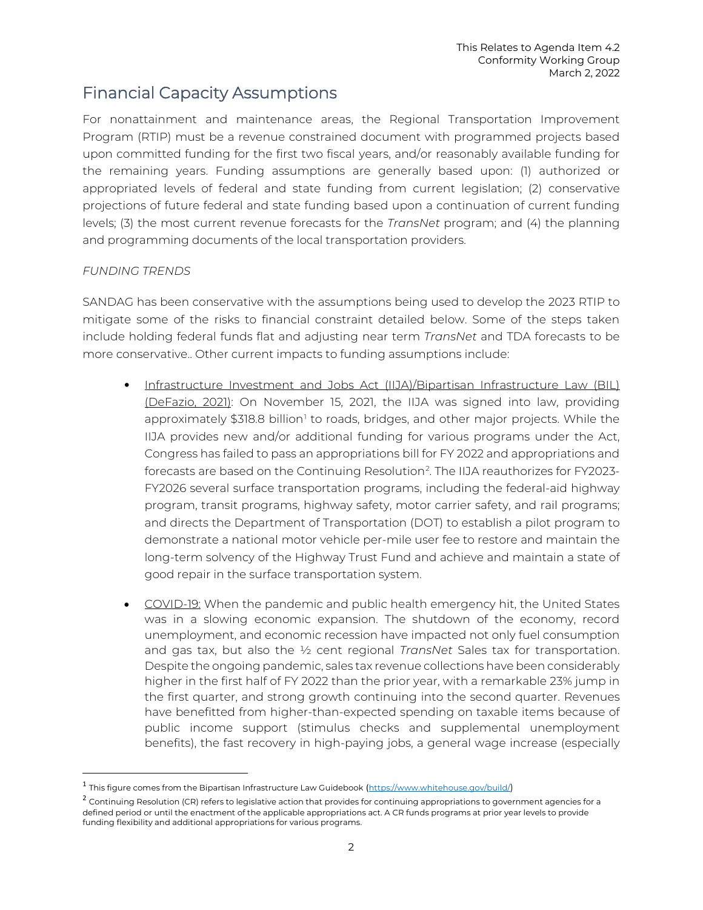# Financial Capacity Assumptions

For nonattainment and maintenance areas, the Regional Transportation Improvement Program (RTIP) must be a revenue constrained document with programmed projects based upon committed funding for the first two fiscal years, and/or reasonably available funding for the remaining years. Funding assumptions are generally based upon: (1) authorized or appropriated levels of federal and state funding from current legislation; (2) conservative projections of future federal and state funding based upon a continuation of current funding levels; (3) the most current revenue forecasts for the *TransNet* program; and (4) the planning and programming documents of the local transportation providers.

#### *FUNDING TRENDS*

SANDAG has been conservative with the assumptions being used to develop the 2023 RTIP to mitigate some of the risks to financial constraint detailed below. Some of the steps taken include holding federal funds flat and adjusting near term *TransNet* and TDA forecasts to be more conservative.. Other current impacts to funding assumptions include:

- Infrastructure Investment and Jobs Act (IIJA)/Bipartisan Infrastructure Law (BIL) (DeFazio, 2021): On November 15, 2021, the IIJA was signed into law, providing approximately \$3[1](#page-8-0)8.8 billion<sup>1</sup> to roads, bridges, and other major projects. While the IIJA provides new and/or additional funding for various programs under the Act, Congress has failed to pass an appropriations bill for FY 2022 and appropriations and forecasts are based on the Continuing Resolution $^2$  $^2$ . The IIJA reauthorizes for FY2023-FY2026 several surface transportation programs, including the federal-aid highway program, transit programs, highway safety, motor carrier safety, and rail programs; and directs the Department of Transportation (DOT) to establish a pilot program to demonstrate a national motor vehicle per-mile user fee to restore and maintain the long-term solvency of the Highway Trust Fund and achieve and maintain a state of good repair in the surface transportation system.
- COVID-19: When the pandemic and public health emergency hit, the United States was in a slowing economic expansion. The shutdown of the economy, record unemployment, and economic recession have impacted not only fuel consumption and gas tax, but also the ½ cent regional *TransNet* Sales tax for transportation. Despite the ongoing pandemic, sales tax revenue collections have been considerably higher in the first half of FY 2022 than the prior year, with a remarkable 23% jump in the first quarter, and strong growth continuing into the second quarter. Revenues have benefitted from higher-than-expected spending on taxable items because of public income support (stimulus checks and supplemental unemployment benefits), the fast recovery in high-paying jobs, a general wage increase (especially

<span id="page-8-0"></span><sup>1</sup> This figure comes from the Bipartisan Infrastructure Law Guidebook ([https://www.whitehouse.gov/build/\)](https://www.whitehouse.gov/build/)

<span id="page-8-1"></span><sup>&</sup>lt;sup>2</sup> Continuing Resolution (CR) refers to legislative action that provides for continuing appropriations to government agencies for a defined period or until the enactment of the applicable appropriations act. A CR funds programs at prior year levels to provide funding flexibility and additional appropriations for various programs.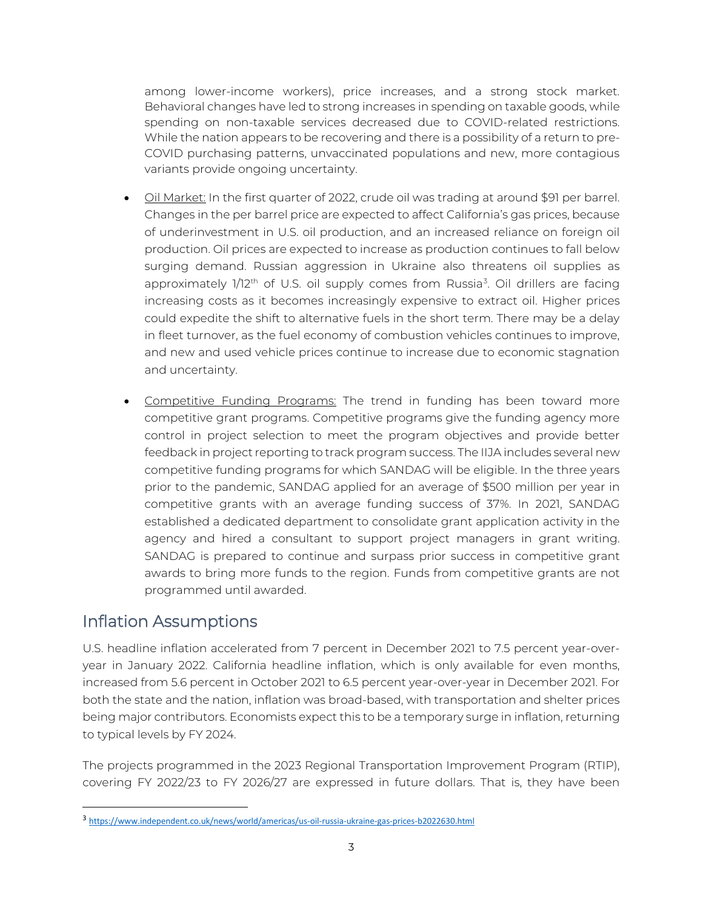among lower-income workers), price increases, and a strong stock market. Behavioral changes have led to strong increases in spending on taxable goods, while spending on non-taxable services decreased due to COVID-related restrictions. While the nation appears to be recovering and there is a possibility of a return to pre-COVID purchasing patterns, unvaccinated populations and new, more contagious variants provide ongoing uncertainty.

- Oil Market: In the first quarter of 2022, crude oil was trading at around \$91 per barrel. Changes in the per barrel price are expected to affect California's gas prices, because of underinvestment in U.S. oil production, and an increased reliance on foreign oil production. Oil prices are expected to increase as production continues to fall below surging demand. Russian aggression in Ukraine also threatens oil supplies as approximately 1/12<sup>th</sup> of U.S. oil supply comes from Russia<sup>[3](#page-9-0)</sup>. Oil drillers are facing increasing costs as it becomes increasingly expensive to extract oil. Higher prices could expedite the shift to alternative fuels in the short term. There may be a delay in fleet turnover, as the fuel economy of combustion vehicles continues to improve, and new and used vehicle prices continue to increase due to economic stagnation and uncertainty.
- Competitive Funding Programs: The trend in funding has been toward more competitive grant programs. Competitive programs give the funding agency more control in project selection to meet the program objectives and provide better feedback in project reporting to track program success. The IIJA includes several new competitive funding programs for which SANDAG will be eligible. In the three years prior to the pandemic, SANDAG applied for an average of \$500 million per year in competitive grants with an average funding success of 37%. In 2021, SANDAG established a dedicated department to consolidate grant application activity in the agency and hired a consultant to support project managers in grant writing. SANDAG is prepared to continue and surpass prior success in competitive grant awards to bring more funds to the region. Funds from competitive grants are not programmed until awarded.

# Inflation Assumptions

U.S. headline inflation accelerated from 7 percent in December 2021 to 7.5 percent year-overyear in January 2022. California headline inflation, which is only available for even months, increased from 5.6 percent in October 2021 to 6.5 percent year-over-year in December 2021. For both the state and the nation, inflation was broad-based, with transportation and shelter prices being major contributors. Economists expect this to be a temporary surge in inflation, returning to typical levels by FY 2024.

The projects programmed in the 2023 Regional Transportation Improvement Program (RTIP), covering FY 2022/23 to FY 2026/27 are expressed in future dollars. That is, they have been

<span id="page-9-0"></span><sup>3</sup> <https://www.independent.co.uk/news/world/americas/us-oil-russia-ukraine-gas-prices-b2022630.html>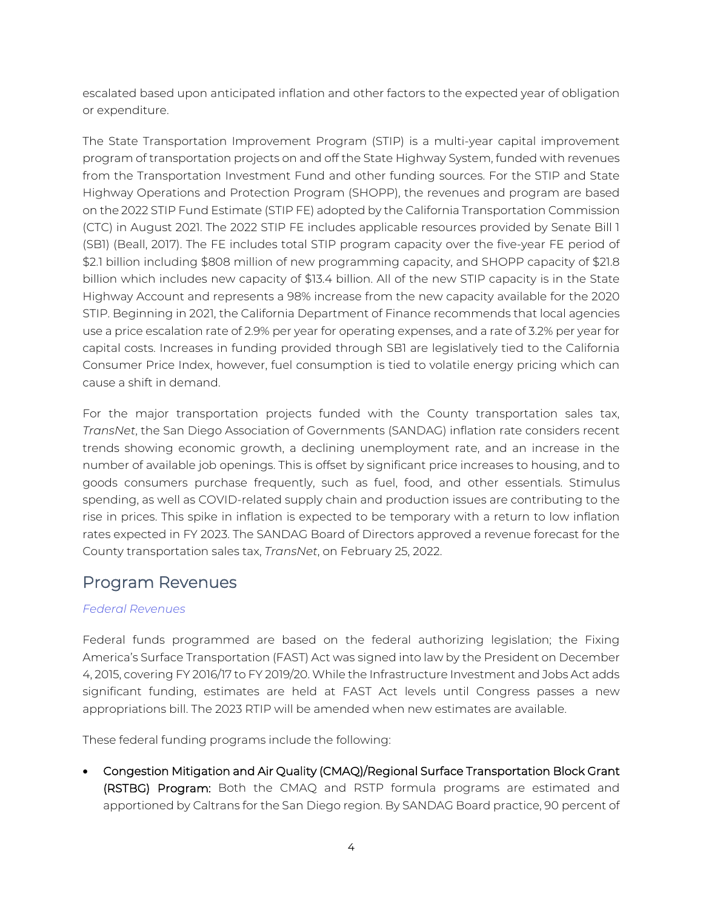escalated based upon anticipated inflation and other factors to the expected year of obligation or expenditure.

The State Transportation Improvement Program (STIP) is a multi-year capital improvement program of transportation projects on and off the State Highway System, funded with revenues from the Transportation Investment Fund and other funding sources. For the STIP and State Highway Operations and Protection Program (SHOPP), the revenues and program are based on the 2022 STIP Fund Estimate (STIP FE) adopted by the California Transportation Commission (CTC) in August 2021. The 2022 STIP FE includes applicable resources provided by Senate Bill 1 (SB1) (Beall, 2017). The FE includes total STIP program capacity over the five-year FE period of \$2.1 billion including \$808 million of new programming capacity, and SHOPP capacity of \$21.8 billion which includes new capacity of \$13.4 billion. All of the new STIP capacity is in the State Highway Account and represents a 98% increase from the new capacity available for the 2020 STIP. Beginning in 2021, the California Department of Finance recommends that local agencies use a price escalation rate of 2.9% per year for operating expenses, and a rate of 3.2% per year for capital costs. Increases in funding provided through SB1 are legislatively tied to the California Consumer Price Index, however, fuel consumption is tied to volatile energy pricing which can cause a shift in demand.

For the major transportation projects funded with the County transportation sales tax, *TransNet*, the San Diego Association of Governments (SANDAG) inflation rate considers recent trends showing economic growth, a declining unemployment rate, and an increase in the number of available job openings. This is offset by significant price increases to housing, and to goods consumers purchase frequently, such as fuel, food, and other essentials. Stimulus spending, as well as COVID-related supply chain and production issues are contributing to the rise in prices. This spike in inflation is expected to be temporary with a return to low inflation rates expected in FY 2023. The SANDAG Board of Directors approved a revenue forecast for the County transportation sales tax, *TransNet*, on February 25, 2022.

### Program Revenues

#### *Federal Revenues*

Federal funds programmed are based on the federal authorizing legislation; the Fixing America's Surface Transportation (FAST) Act was signed into law by the President on December 4, 2015, covering FY 2016/17 to FY 2019/20. While the Infrastructure Investment and Jobs Act adds significant funding, estimates are held at FAST Act levels until Congress passes a new appropriations bill. The 2023 RTIP will be amended when new estimates are available.

These federal funding programs include the following:

• Congestion Mitigation and Air Quality (CMAQ)/Regional Surface Transportation Block Grant (RSTBG) Program: Both the CMAQ and RSTP formula programs are estimated and apportioned by Caltrans for the San Diego region. By SANDAG Board practice, 90 percent of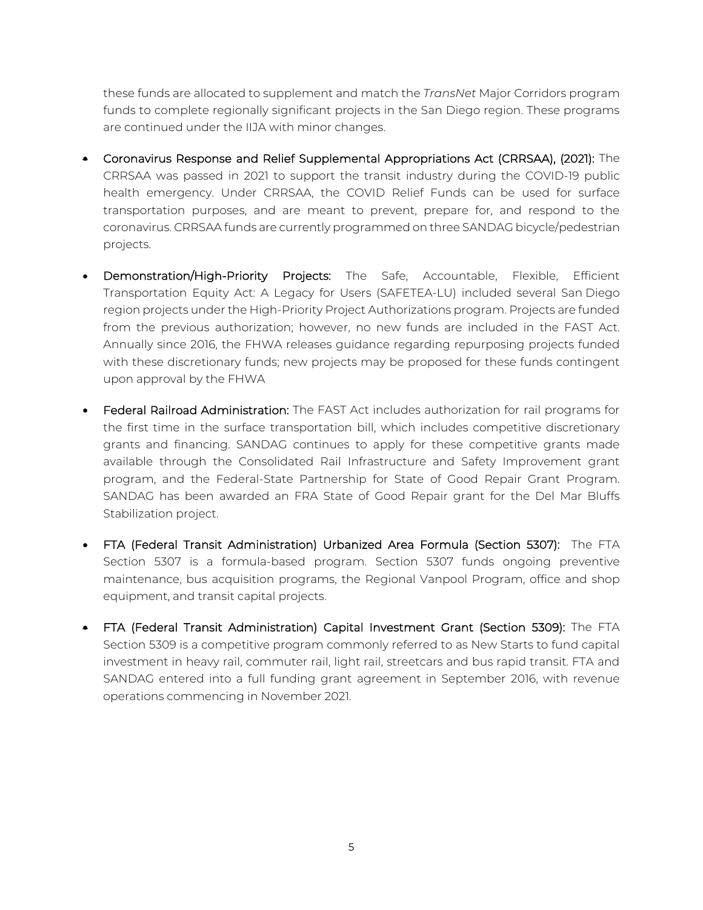these funds are allocated to supplement and match the *TransNet* Major Corridors program funds to complete regionally significant projects in the San Diego region. These programs are continued under the IIJA with minor changes.

- Coronavirus Response and Relief Supplemental Appropriations Act (CRRSAA), (2021): The CRRSAA was passed in 2021 to support the transit industry during the COVID-19 public health emergency. Under CRRSAA, the COVID Relief Funds can be used for surface transportation purposes, and are meant to prevent, prepare for, and respond to the coronavirus. CRRSAA funds are currently programmed on three SANDAG bicycle/pedestrian projects.
- Demonstration/High-Priority Projects: The Safe, Accountable, Flexible, Efficient Transportation Equity Act: A Legacy for Users (SAFETEA-LU) included several San Diego region projects under the High-Priority Project Authorizations program. Projects are funded from the previous authorization; however, no new funds are included in the FAST Act. Annually since 2016, the FHWA releases guidance regarding repurposing projects funded with these discretionary funds; new projects may be proposed for these funds contingent upon approval by the FHWA
- Federal Railroad Administration: The FAST Act includes authorization for rail programs for the first time in the surface transportation bill, which includes competitive discretionary grants and financing. SANDAG continues to apply for these competitive grants made available through the Consolidated Rail Infrastructure and Safety Improvement grant program, and the Federal-State Partnership for State of Good Repair Grant Program. SANDAG has been awarded an FRA State of Good Repair grant for the Del Mar Bluffs Stabilization project.
- FTA (Federal Transit Administration) Urbanized Area Formula (Section 5307): The FTA Section 5307 is a formula-based program. Section 5307 funds ongoing preventive maintenance, bus acquisition programs, the Regional Vanpool Program, office and shop equipment, and transit capital projects.
- FTA (Federal Transit Administration) Capital Investment Grant (Section 5309): The FTA Section 5309 is a competitive program commonly referred to as New Starts to fund capital investment in heavy rail, commuter rail, light rail, streetcars and bus rapid transit. FTA and SANDAG entered into a full funding grant agreement in September 2016, with revenue operations commencing in November 2021.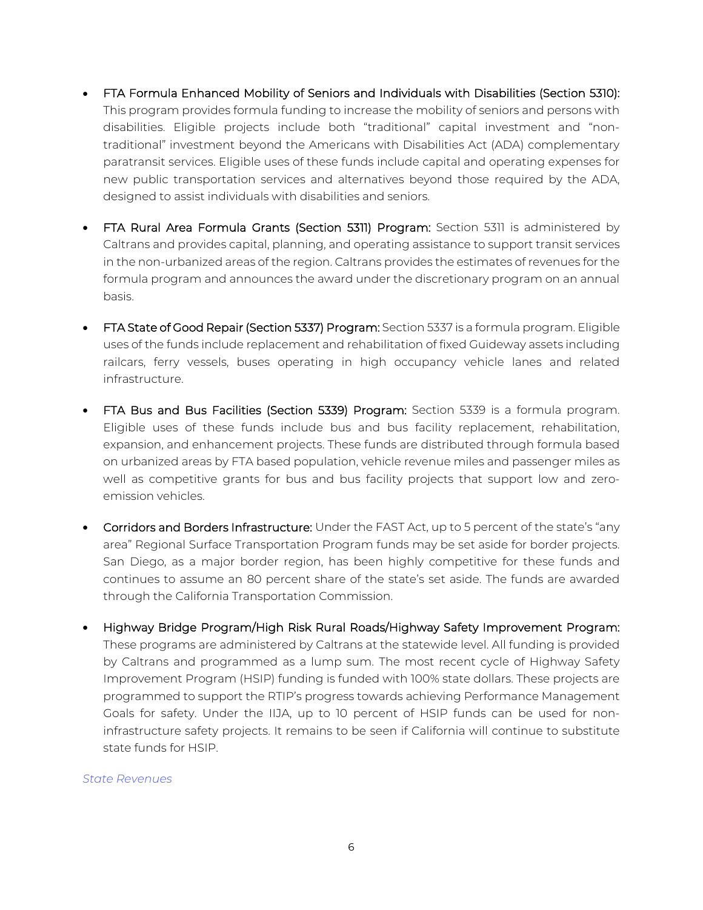- FTA Formula Enhanced Mobility of Seniors and Individuals with Disabilities (Section 5310): This program provides formula funding to increase the mobility of seniors and persons with disabilities. Eligible projects include both "traditional" capital investment and "nontraditional" investment beyond the Americans with Disabilities Act (ADA) complementary paratransit services. Eligible uses of these funds include capital and operating expenses for new public transportation services and alternatives beyond those required by the ADA, designed to assist individuals with disabilities and seniors.
- FTA Rural Area Formula Grants (Section 5311) Program: Section 5311 is administered by Caltrans and provides capital, planning, and operating assistance to support transit services in the non-urbanized areas of the region. Caltrans provides the estimates of revenues for the formula program and announces the award under the discretionary program on an annual basis.
- FTA State of Good Repair (Section 5337) Program: Section 5337 is a formula program. Eligible uses of the funds include replacement and rehabilitation of fixed Guideway assets including railcars, ferry vessels, buses operating in high occupancy vehicle lanes and related infrastructure.
- FTA Bus and Bus Facilities (Section 5339) Program: Section 5339 is a formula program. Eligible uses of these funds include bus and bus facility replacement, rehabilitation, expansion, and enhancement projects. These funds are distributed through formula based on urbanized areas by FTA based population, vehicle revenue miles and passenger miles as well as competitive grants for bus and bus facility projects that support low and zeroemission vehicles.
- Corridors and Borders Infrastructure: Under the FAST Act, up to 5 percent of the state's "any area" Regional Surface Transportation Program funds may be set aside for border projects. San Diego, as a major border region, has been highly competitive for these funds and continues to assume an 80 percent share of the state's set aside. The funds are awarded through the California Transportation Commission.
- Highway Bridge Program/High Risk Rural Roads/Highway Safety Improvement Program: These programs are administered by Caltrans at the statewide level. All funding is provided by Caltrans and programmed as a lump sum. The most recent cycle of Highway Safety Improvement Program (HSIP) funding is funded with 100% state dollars. These projects are programmed to support the RTIP's progress towards achieving Performance Management Goals for safety. Under the IIJA, up to 10 percent of HSIP funds can be used for noninfrastructure safety projects. It remains to be seen if California will continue to substitute state funds for HSIP.

#### *State Revenues*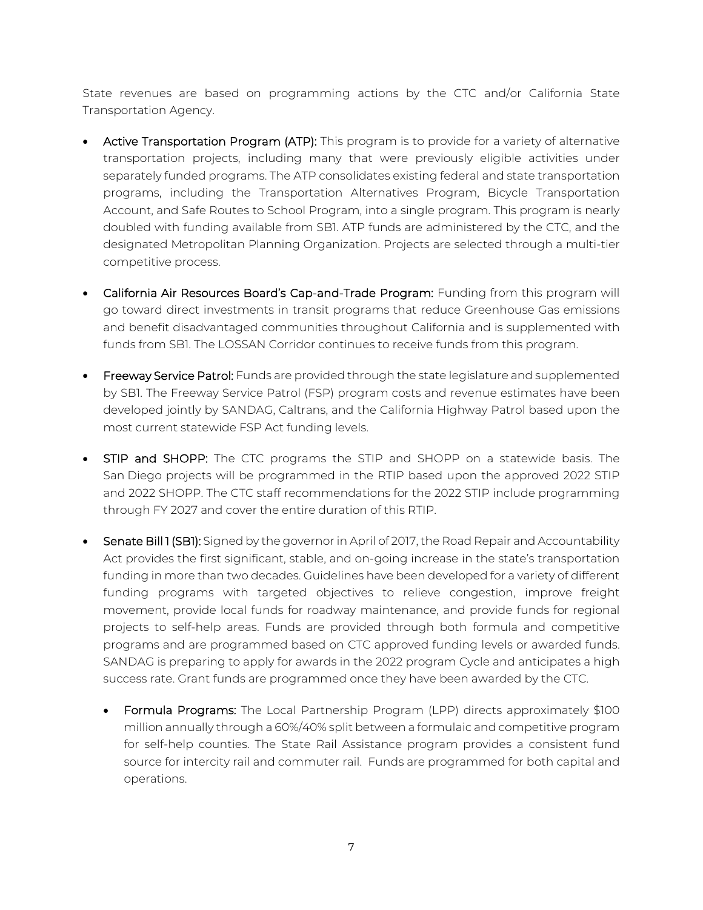State revenues are based on programming actions by the CTC and/or California State Transportation Agency.

- Active Transportation Program (ATP): This program is to provide for a variety of alternative transportation projects, including many that were previously eligible activities under separately funded programs. The ATP consolidates existing federal and state transportation programs, including the Transportation Alternatives Program, Bicycle Transportation Account, and Safe Routes to School Program, into a single program. This program is nearly doubled with funding available from SB1. ATP funds are administered by the CTC, and the designated Metropolitan Planning Organization. Projects are selected through a multi-tier competitive process.
- California Air Resources Board's Cap-and-Trade Program: Funding from this program will go toward direct investments in transit programs that reduce Greenhouse Gas emissions and benefit disadvantaged communities throughout California and is supplemented with funds from SB1. The LOSSAN Corridor continues to receive funds from this program.
- Freeway Service Patrol: Funds are provided through the state legislature and supplemented by SB1. The Freeway Service Patrol (FSP) program costs and revenue estimates have been developed jointly by SANDAG, Caltrans, and the California Highway Patrol based upon the most current statewide FSP Act funding levels.
- STIP and SHOPP: The CTC programs the STIP and SHOPP on a statewide basis. The San Diego projects will be programmed in the RTIP based upon the approved 2022 STIP and 2022 SHOPP. The CTC staff recommendations for the 2022 STIP include programming through FY 2027 and cover the entire duration of this RTIP.
- Senate Bill 1 (SB1): Signed by the governor in April of 2017, the Road Repair and Accountability Act provides the first significant, stable, and on-going increase in the state's transportation funding in more than two decades. Guidelines have been developed for a variety of different funding programs with targeted objectives to relieve congestion, improve freight movement, provide local funds for roadway maintenance, and provide funds for regional projects to self-help areas. Funds are provided through both formula and competitive programs and are programmed based on CTC approved funding levels or awarded funds. SANDAG is preparing to apply for awards in the 2022 program Cycle and anticipates a high success rate. Grant funds are programmed once they have been awarded by the CTC.
	- Formula Programs: The Local Partnership Program (LPP) directs approximately \$100 million annually through a 60%/40% split between a formulaic and competitive program for self-help counties. The State Rail Assistance program provides a consistent fund source for intercity rail and commuter rail. Funds are programmed for both capital and operations.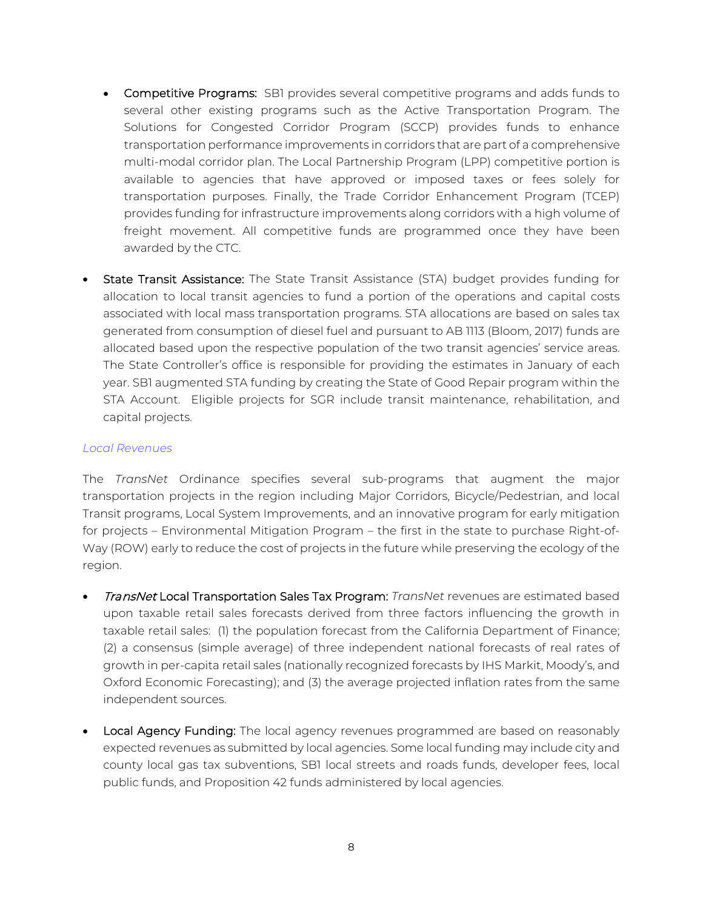- Competitive Programs: SB1 provides several competitive programs and adds funds to several other existing programs such as the Active Transportation Program. The Solutions for Congested Corridor Program (SCCP) provides funds to enhance transportation performance improvements in corridors that are part of a comprehensive multi-modal corridor plan. The Local Partnership Program (LPP) competitive portion is available to agencies that have approved or imposed taxes or fees solely for transportation purposes. Finally, the Trade Corridor Enhancement Program (TCEP) provides funding for infrastructure improvements along corridors with a high volume of freight movement. All competitive funds are programmed once they have been awarded by the CTC.
- State Transit Assistance: The State Transit Assistance (STA) budget provides funding for allocation to local transit agencies to fund a portion of the operations and capital costs associated with local mass transportation programs. STA allocations are based on sales tax generated from consumption of diesel fuel and pursuant to AB 1113 (Bloom, 2017) funds are allocated based upon the respective population of the two transit agencies' service areas. The State Controller's office is responsible for providing the estimates in January of each year. SB1 augmented STA funding by creating the State of Good Repair program within the STA Account. Eligible projects for SGR include transit maintenance, rehabilitation, and capital projects.

#### *Local Revenues*

The *TransNet* Ordinance specifies several sub-programs that augment the major transportation projects in the region including Major Corridors, Bicycle/Pedestrian, and local Transit programs, Local System Improvements, and an innovative program for early mitigation for projects – Environmental Mitigation Program – the first in the state to purchase Right-of-Way (ROW) early to reduce the cost of projects in the future while preserving the ecology of the region.

- TransNet Local Transportation Sales Tax Program: *TransNet* revenues are estimated based upon taxable retail sales forecasts derived from three factors influencing the growth in taxable retail sales: (1) the population forecast from the California Department of Finance; (2) a consensus (simple average) of three independent national forecasts of real rates of growth in per-capita retail sales (nationally recognized forecasts by IHS Markit, Moody's, and Oxford Economic Forecasting); and (3) the average projected inflation rates from the same independent sources.
- Local Agency Funding: The local agency revenues programmed are based on reasonably expected revenues as submitted by local agencies. Some local funding may include city and county local gas tax subventions, SB1 local streets and roads funds, developer fees, local public funds, and Proposition 42 funds administered by local agencies.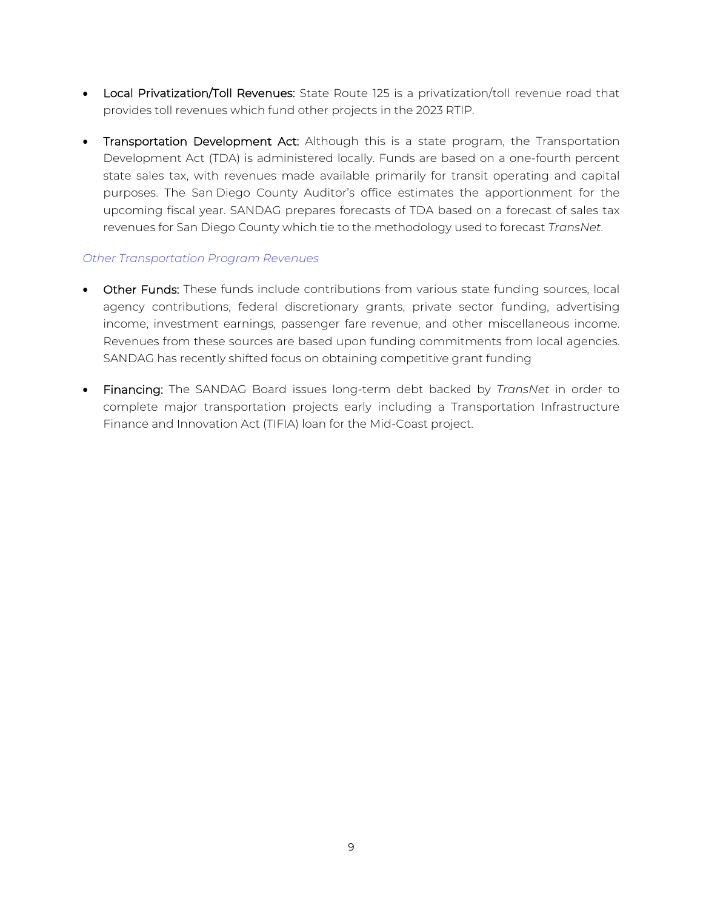- Local Privatization/Toll Revenues: State Route 125 is a privatization/toll revenue road that provides toll revenues which fund other projects in the 2023 RTIP.
- Transportation Development Act: Although this is a state program, the Transportation Development Act (TDA) is administered locally. Funds are based on a one-fourth percent state sales tax, with revenues made available primarily for transit operating and capital purposes. The San Diego County Auditor's office estimates the apportionment for the upcoming fiscal year. SANDAG prepares forecasts of TDA based on a forecast of sales tax revenues for San Diego County which tie to the methodology used to forecast *TransNet*.

#### *Other Transportation Program Revenues*

- Other Funds: These funds include contributions from various state funding sources, local agency contributions, federal discretionary grants, private sector funding, advertising income, investment earnings, passenger fare revenue, and other miscellaneous income. Revenues from these sources are based upon funding commitments from local agencies. SANDAG has recently shifted focus on obtaining competitive grant funding
- Financing: The SANDAG Board issues long-term debt backed by *TransNet* in order to complete major transportation projects early including a Transportation Infrastructure Finance and Innovation Act (TIFIA) loan for the Mid-Coast project.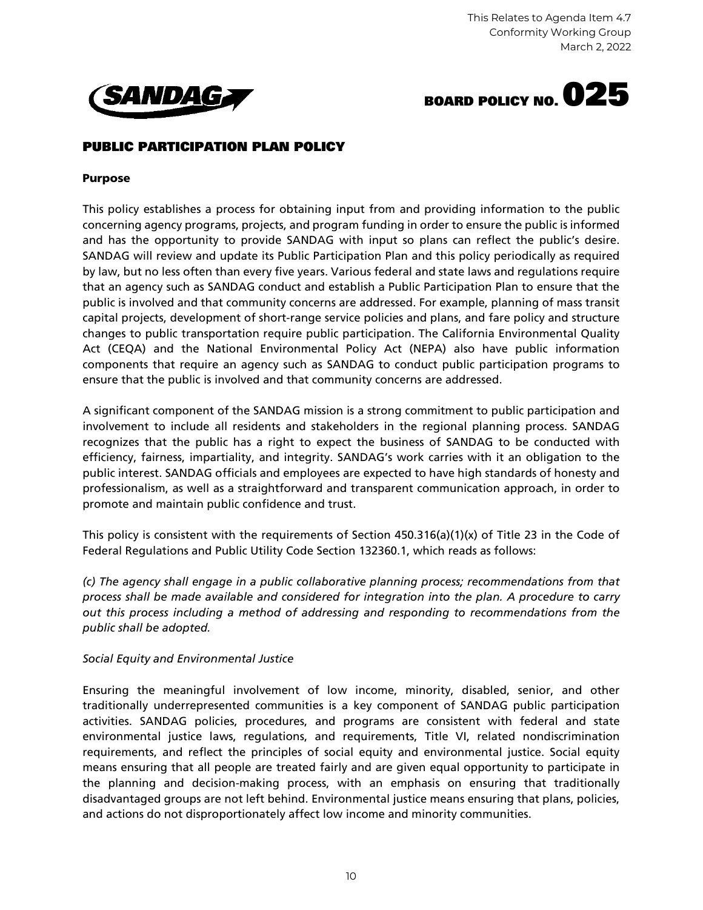



### PUBLIC PARTICIPATION PLAN POLICY

#### Purpose

This policy establishes a process for obtaining input from and providing information to the public concerning agency programs, projects, and program funding in order to ensure the public is informed and has the opportunity to provide SANDAG with input so plans can reflect the public's desire. SANDAG will review and update its Public Participation Plan and this policy periodically as required by law, but no less often than every five years. Various federal and state laws and regulations require that an agency such as SANDAG conduct and establish a Public Participation Plan to ensure that the public is involved and that community concerns are addressed. For example, planning of mass transit capital projects, development of short-range service policies and plans, and fare policy and structure changes to public transportation require public participation. The California Environmental Quality Act (CEQA) and the National Environmental Policy Act (NEPA) also have public information components that require an agency such as SANDAG to conduct public participation programs to ensure that the public is involved and that community concerns are addressed.

A significant component of the SANDAG mission is a strong commitment to public participation and involvement to include all residents and stakeholders in the regional planning process. SANDAG recognizes that the public has a right to expect the business of SANDAG to be conducted with efficiency, fairness, impartiality, and integrity. SANDAG's work carries with it an obligation to the public interest. SANDAG officials and employees are expected to have high standards of honesty and professionalism, as well as a straightforward and transparent communication approach, in order to promote and maintain public confidence and trust.

This policy is consistent with the requirements of Section  $450.316(a)(1)(x)$  of Title 23 in the Code of Federal Regulations and Public Utility Code Section 132360.1, which reads as follows:

*(c) The agency shall engage in a public collaborative planning process; recommendations from that process shall be made available and considered for integration into the plan. A procedure to carry out this process including a method of addressing and responding to recommendations from the public shall be adopted.*

#### *Social Equity and Environmental Justice*

Ensuring the meaningful involvement of low income, minority, disabled, senior, and other traditionally underrepresented communities is a key component of SANDAG public participation activities. SANDAG policies, procedures, and programs are consistent with federal and state environmental justice laws, regulations, and requirements, Title VI, related nondiscrimination requirements, and reflect the principles of social equity and environmental justice. Social equity means ensuring that all people are treated fairly and are given equal opportunity to participate in the planning and decision-making process, with an emphasis on ensuring that traditionally disadvantaged groups are not left behind. Environmental justice means ensuring that plans, policies, and actions do not disproportionately affect low income and minority communities.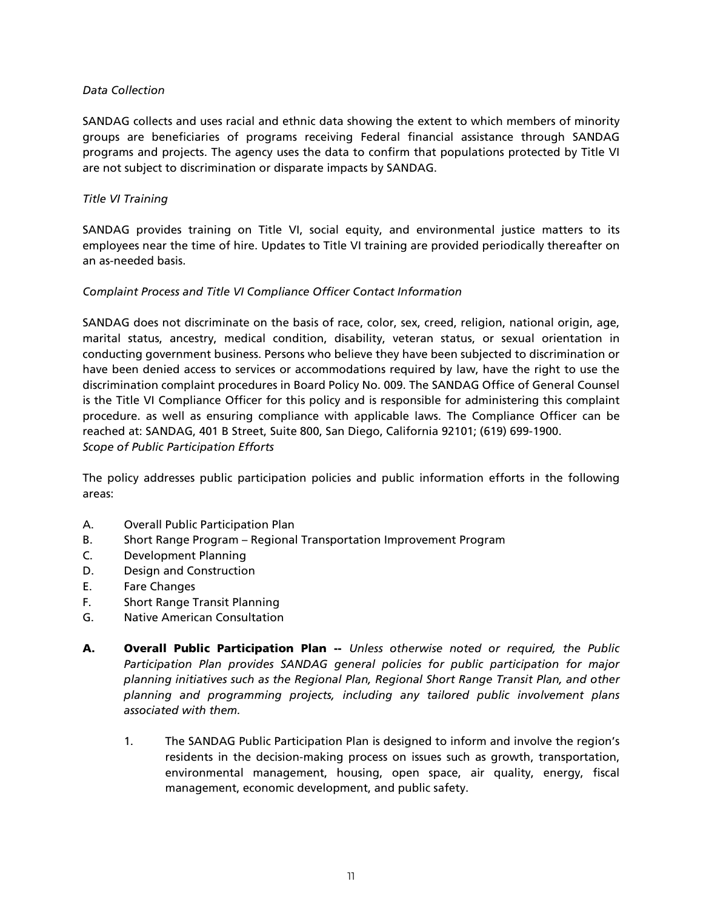#### *Data Collection*

SANDAG collects and uses racial and ethnic data showing the extent to which members of minority groups are beneficiaries of programs receiving Federal financial assistance through SANDAG programs and projects. The agency uses the data to confirm that populations protected by Title VI are not subject to discrimination or disparate impacts by SANDAG.

#### *Title VI Training*

SANDAG provides training on Title VI, social equity, and environmental justice matters to its employees near the time of hire. Updates to Title VI training are provided periodically thereafter on an as-needed basis.

#### *Complaint Process and Title VI Compliance Officer Contact Information*

SANDAG does not discriminate on the basis of race, color, sex, creed, religion, national origin, age, marital status, ancestry, medical condition, disability, veteran status, or sexual orientation in conducting government business. Persons who believe they have been subjected to discrimination or have been denied access to services or accommodations required by law, have the right to use the discrimination complaint procedures in Board Policy No. 009. The SANDAG Office of General Counsel is the Title VI Compliance Officer for this policy and is responsible for administering this complaint procedure. as well as ensuring compliance with applicable laws. The Compliance Officer can be reached at: SANDAG, 401 B Street, Suite 800, San Diego, California 92101; (619) 699-1900. *Scope of Public Participation Efforts*

The policy addresses public participation policies and public information efforts in the following areas:

- A. Overall Public Participation Plan
- B. Short Range Program Regional Transportation Improvement Program
- C. Development Planning
- D. Design and Construction
- E. Fare Changes
- F. Short Range Transit Planning
- G. Native American Consultation
- A. Overall Public Participation Plan -- *Unless otherwise noted or required, the Public Participation Plan provides SANDAG general policies for public participation for major planning initiatives such as the Regional Plan, Regional Short Range Transit Plan, and other planning and programming projects, including any tailored public involvement plans associated with them.*
	- 1. The SANDAG Public Participation Plan is designed to inform and involve the region's residents in the decision-making process on issues such as growth, transportation, environmental management, housing, open space, air quality, energy, fiscal management, economic development, and public safety.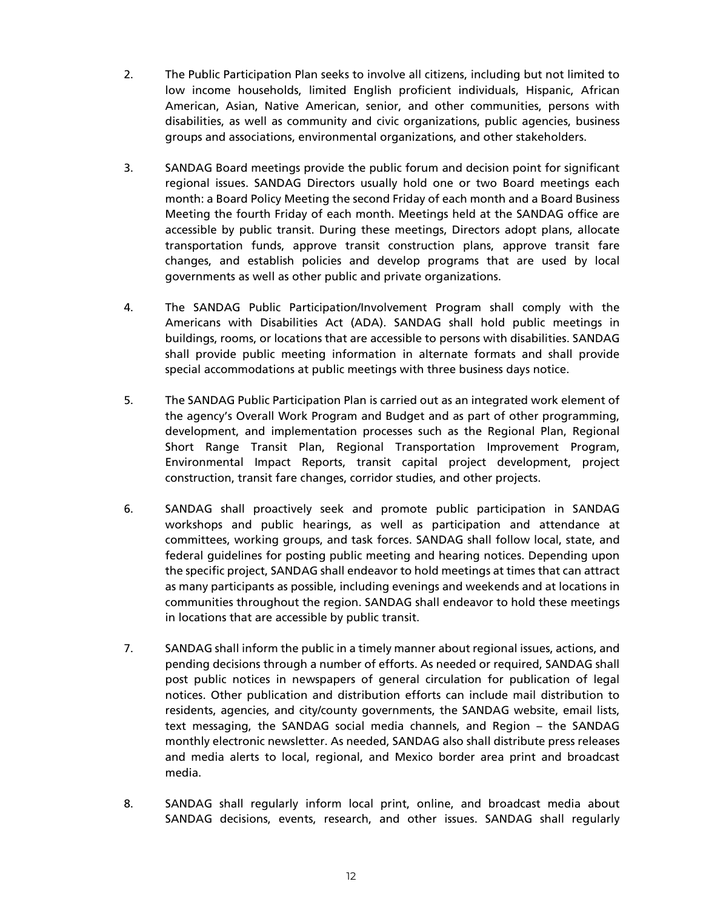- 2. The Public Participation Plan seeks to involve all citizens, including but not limited to low income households, limited English proficient individuals, Hispanic, African American, Asian, Native American, senior, and other communities, persons with disabilities, as well as community and civic organizations, public agencies, business groups and associations, environmental organizations, and other stakeholders.
- 3. SANDAG Board meetings provide the public forum and decision point for significant regional issues. SANDAG Directors usually hold one or two Board meetings each month: a Board Policy Meeting the second Friday of each month and a Board Business Meeting the fourth Friday of each month. Meetings held at the SANDAG office are accessible by public transit. During these meetings, Directors adopt plans, allocate transportation funds, approve transit construction plans, approve transit fare changes, and establish policies and develop programs that are used by local governments as well as other public and private organizations.
- 4. The SANDAG Public Participation/Involvement Program shall comply with the Americans with Disabilities Act (ADA). SANDAG shall hold public meetings in buildings, rooms, or locations that are accessible to persons with disabilities. SANDAG shall provide public meeting information in alternate formats and shall provide special accommodations at public meetings with three business days notice.
- 5. The SANDAG Public Participation Plan is carried out as an integrated work element of the agency's Overall Work Program and Budget and as part of other programming, development, and implementation processes such as the Regional Plan, Regional Short Range Transit Plan, Regional Transportation Improvement Program, Environmental Impact Reports, transit capital project development, project construction, transit fare changes, corridor studies, and other projects.
- 6. SANDAG shall proactively seek and promote public participation in SANDAG workshops and public hearings, as well as participation and attendance at committees, working groups, and task forces. SANDAG shall follow local, state, and federal guidelines for posting public meeting and hearing notices. Depending upon the specific project, SANDAG shall endeavor to hold meetings at times that can attract as many participants as possible, including evenings and weekends and at locations in communities throughout the region. SANDAG shall endeavor to hold these meetings in locations that are accessible by public transit.
- 7. SANDAG shall inform the public in a timely manner about regional issues, actions, and pending decisions through a number of efforts. As needed or required, SANDAG shall post public notices in newspapers of general circulation for publication of legal notices. Other publication and distribution efforts can include mail distribution to residents, agencies, and city/county governments, the SANDAG website, email lists, text messaging, the SANDAG social media channels, and Region – the SANDAG monthly electronic newsletter. As needed, SANDAG also shall distribute press releases and media alerts to local, regional, and Mexico border area print and broadcast media.
- 8. SANDAG shall regularly inform local print, online, and broadcast media about SANDAG decisions, events, research, and other issues. SANDAG shall regularly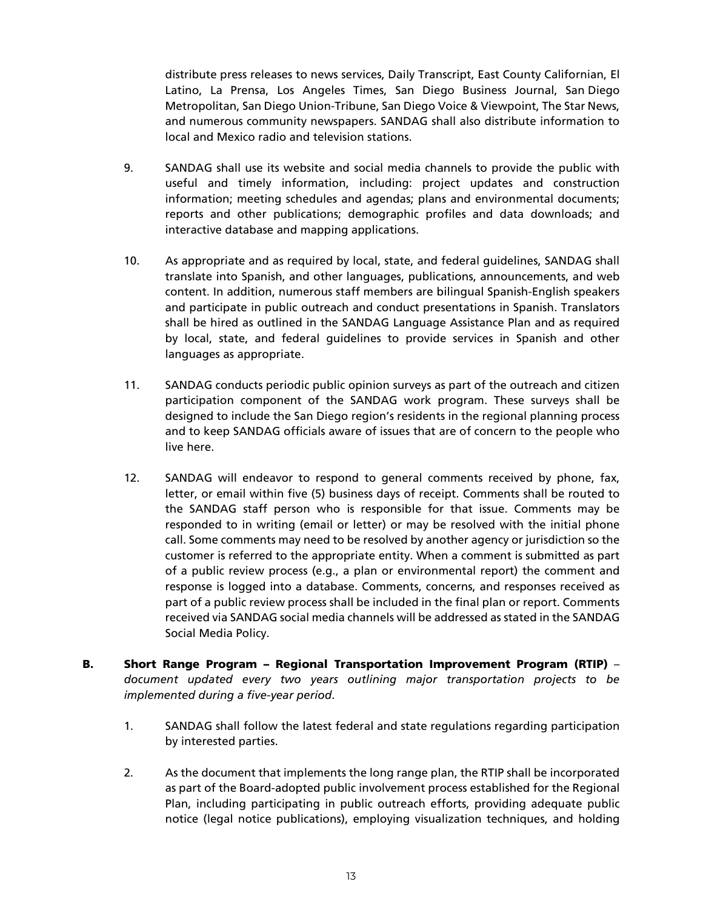distribute press releases to news services, Daily Transcript, East County Californian, El Latino, La Prensa, Los Angeles Times, San Diego Business Journal, San Diego Metropolitan, San Diego Union-Tribune, San Diego Voice & Viewpoint, The Star News, and numerous community newspapers. SANDAG shall also distribute information to local and Mexico radio and television stations.

- 9. SANDAG shall use its website and social media channels to provide the public with useful and timely information, including: project updates and construction information; meeting schedules and agendas; plans and environmental documents; reports and other publications; demographic profiles and data downloads; and interactive database and mapping applications.
- 10. As appropriate and as required by local, state, and federal guidelines, SANDAG shall translate into Spanish, and other languages, publications, announcements, and web content. In addition, numerous staff members are bilingual Spanish-English speakers and participate in public outreach and conduct presentations in Spanish. Translators shall be hired as outlined in the SANDAG Language Assistance Plan and as required by local, state, and federal guidelines to provide services in Spanish and other languages as appropriate.
- 11. SANDAG conducts periodic public opinion surveys as part of the outreach and citizen participation component of the SANDAG work program. These surveys shall be designed to include the San Diego region's residents in the regional planning process and to keep SANDAG officials aware of issues that are of concern to the people who live here.
- 12. SANDAG will endeavor to respond to general comments received by phone, fax, letter, or email within five (5) business days of receipt. Comments shall be routed to the SANDAG staff person who is responsible for that issue. Comments may be responded to in writing (email or letter) or may be resolved with the initial phone call. Some comments may need to be resolved by another agency or jurisdiction so the customer is referred to the appropriate entity. When a comment is submitted as part of a public review process (e.g., a plan or environmental report) the comment and response is logged into a database. Comments, concerns, and responses received as part of a public review process shall be included in the final plan or report. Comments received via SANDAG social media channels will be addressed as stated in the SANDAG Social Media Policy.
- B. Short Range Program Regional Transportation Improvement Program (RTIP) *document updated every two years outlining major transportation projects to be implemented during a five-year period*.
	- 1. SANDAG shall follow the latest federal and state regulations regarding participation by interested parties.
	- 2. As the document that implements the long range plan, the RTIP shall be incorporated as part of the Board-adopted public involvement process established for the Regional Plan, including participating in public outreach efforts, providing adequate public notice (legal notice publications), employing visualization techniques, and holding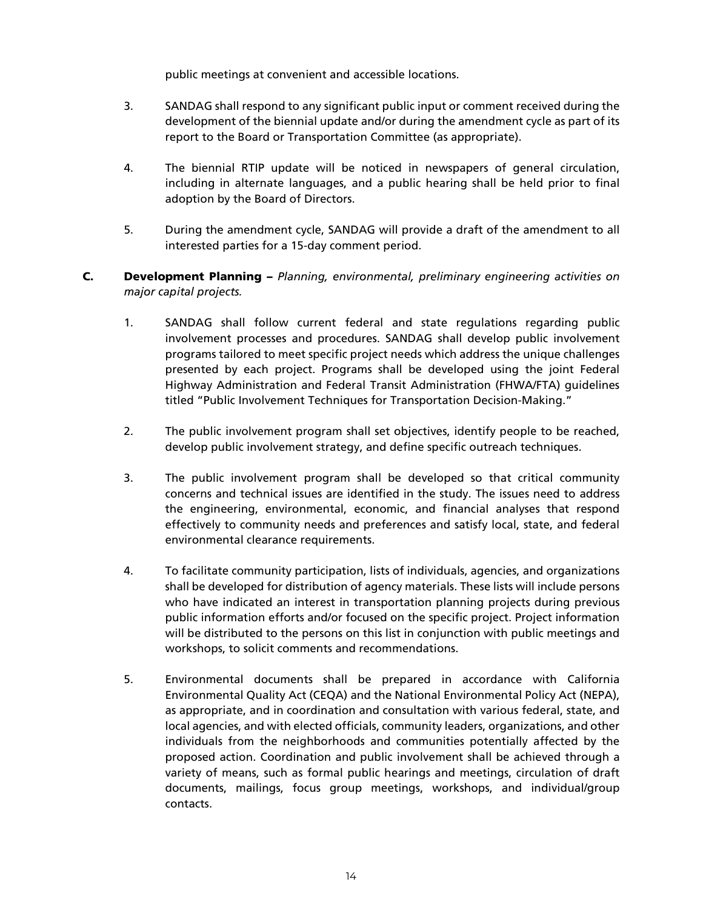public meetings at convenient and accessible locations.

- 3. SANDAG shall respond to any significant public input or comment received during the development of the biennial update and/or during the amendment cycle as part of its report to the Board or Transportation Committee (as appropriate).
- 4. The biennial RTIP update will be noticed in newspapers of general circulation, including in alternate languages, and a public hearing shall be held prior to final adoption by the Board of Directors.
- 5. During the amendment cycle, SANDAG will provide a draft of the amendment to all interested parties for a 15-day comment period.

#### C. Development Planning – *Planning, environmental, preliminary engineering activities on major capital projects.*

- 1. SANDAG shall follow current federal and state regulations regarding public involvement processes and procedures. SANDAG shall develop public involvement programs tailored to meet specific project needs which address the unique challenges presented by each project. Programs shall be developed using the joint Federal Highway Administration and Federal Transit Administration (FHWA/FTA) guidelines titled "Public Involvement Techniques for Transportation Decision-Making."
- 2. The public involvement program shall set objectives, identify people to be reached, develop public involvement strategy, and define specific outreach techniques.
- 3. The public involvement program shall be developed so that critical community concerns and technical issues are identified in the study. The issues need to address the engineering, environmental, economic, and financial analyses that respond effectively to community needs and preferences and satisfy local, state, and federal environmental clearance requirements.
- 4. To facilitate community participation, lists of individuals, agencies, and organizations shall be developed for distribution of agency materials. These lists will include persons who have indicated an interest in transportation planning projects during previous public information efforts and/or focused on the specific project. Project information will be distributed to the persons on this list in conjunction with public meetings and workshops, to solicit comments and recommendations.
- 5. Environmental documents shall be prepared in accordance with California Environmental Quality Act (CEQA) and the National Environmental Policy Act (NEPA), as appropriate, and in coordination and consultation with various federal, state, and local agencies, and with elected officials, community leaders, organizations, and other individuals from the neighborhoods and communities potentially affected by the proposed action. Coordination and public involvement shall be achieved through a variety of means, such as formal public hearings and meetings, circulation of draft documents, mailings, focus group meetings, workshops, and individual/group contacts.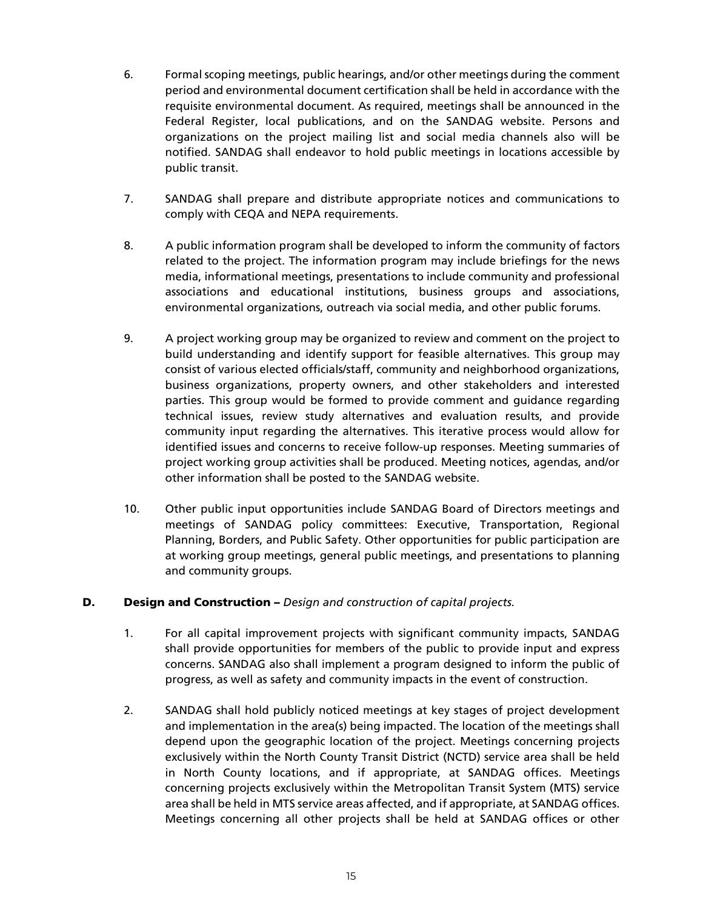- 6. Formal scoping meetings, public hearings, and/or other meetings during the comment period and environmental document certification shall be held in accordance with the requisite environmental document. As required, meetings shall be announced in the Federal Register, local publications, and on the SANDAG website. Persons and organizations on the project mailing list and social media channels also will be notified. SANDAG shall endeavor to hold public meetings in locations accessible by public transit.
- 7. SANDAG shall prepare and distribute appropriate notices and communications to comply with CEQA and NEPA requirements.
- 8. A public information program shall be developed to inform the community of factors related to the project. The information program may include briefings for the news media, informational meetings, presentations to include community and professional associations and educational institutions, business groups and associations, environmental organizations, outreach via social media, and other public forums.
- 9. A project working group may be organized to review and comment on the project to build understanding and identify support for feasible alternatives. This group may consist of various elected officials/staff, community and neighborhood organizations, business organizations, property owners, and other stakeholders and interested parties. This group would be formed to provide comment and guidance regarding technical issues, review study alternatives and evaluation results, and provide community input regarding the alternatives. This iterative process would allow for identified issues and concerns to receive follow-up responses. Meeting summaries of project working group activities shall be produced. Meeting notices, agendas, and/or other information shall be posted to the SANDAG website.
- 10. Other public input opportunities include SANDAG Board of Directors meetings and meetings of SANDAG policy committees: Executive, Transportation, Regional Planning, Borders, and Public Safety. Other opportunities for public participation are at working group meetings, general public meetings, and presentations to planning and community groups.

#### D. Design and Construction – *Design and construction of capital projects.*

- 1. For all capital improvement projects with significant community impacts, SANDAG shall provide opportunities for members of the public to provide input and express concerns. SANDAG also shall implement a program designed to inform the public of progress, as well as safety and community impacts in the event of construction.
- 2. SANDAG shall hold publicly noticed meetings at key stages of project development and implementation in the area(s) being impacted. The location of the meetings shall depend upon the geographic location of the project. Meetings concerning projects exclusively within the North County Transit District (NCTD) service area shall be held in North County locations, and if appropriate, at SANDAG offices. Meetings concerning projects exclusively within the Metropolitan Transit System (MTS) service area shall be held in MTS service areas affected, and if appropriate, at SANDAG offices. Meetings concerning all other projects shall be held at SANDAG offices or other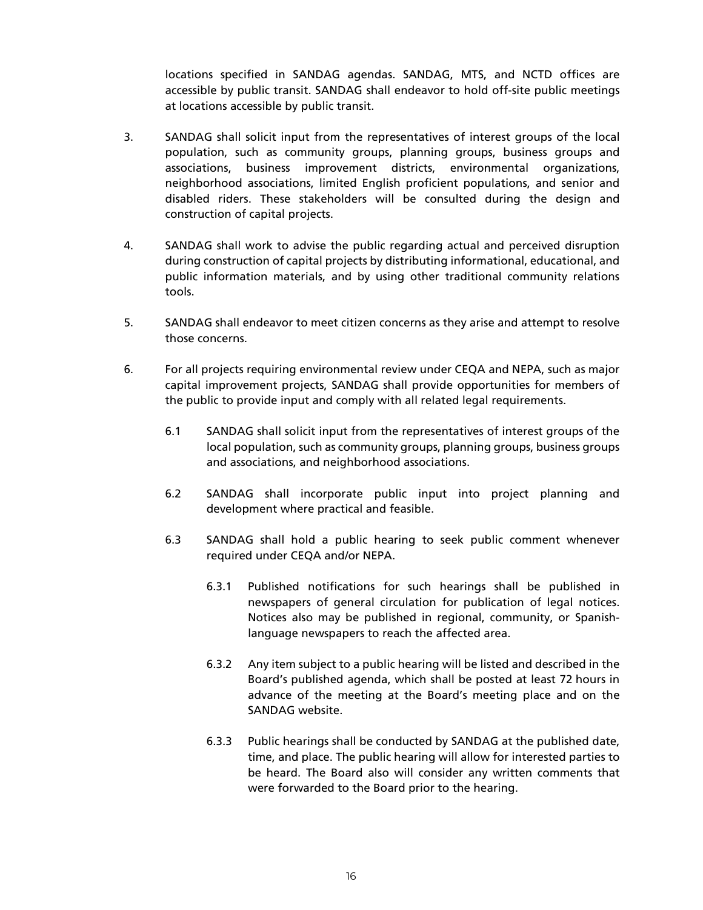locations specified in SANDAG agendas. SANDAG, MTS, and NCTD offices are accessible by public transit. SANDAG shall endeavor to hold off-site public meetings at locations accessible by public transit.

- 3. SANDAG shall solicit input from the representatives of interest groups of the local population, such as community groups, planning groups, business groups and associations, business improvement districts, environmental organizations, neighborhood associations, limited English proficient populations, and senior and disabled riders. These stakeholders will be consulted during the design and construction of capital projects.
- 4. SANDAG shall work to advise the public regarding actual and perceived disruption during construction of capital projects by distributing informational, educational, and public information materials, and by using other traditional community relations tools.
- 5. SANDAG shall endeavor to meet citizen concerns as they arise and attempt to resolve those concerns.
- 6. For all projects requiring environmental review under CEQA and NEPA, such as major capital improvement projects, SANDAG shall provide opportunities for members of the public to provide input and comply with all related legal requirements.
	- 6.1 SANDAG shall solicit input from the representatives of interest groups of the local population, such as community groups, planning groups, business groups and associations, and neighborhood associations.
	- 6.2 SANDAG shall incorporate public input into project planning and development where practical and feasible.
	- 6.3 SANDAG shall hold a public hearing to seek public comment whenever required under CEQA and/or NEPA.
		- 6.3.1 Published notifications for such hearings shall be published in newspapers of general circulation for publication of legal notices. Notices also may be published in regional, community, or Spanishlanguage newspapers to reach the affected area.
		- 6.3.2 Any item subject to a public hearing will be listed and described in the Board's published agenda, which shall be posted at least 72 hours in advance of the meeting at the Board's meeting place and on the SANDAG website.
		- 6.3.3 Public hearings shall be conducted by SANDAG at the published date, time, and place. The public hearing will allow for interested parties to be heard. The Board also will consider any written comments that were forwarded to the Board prior to the hearing.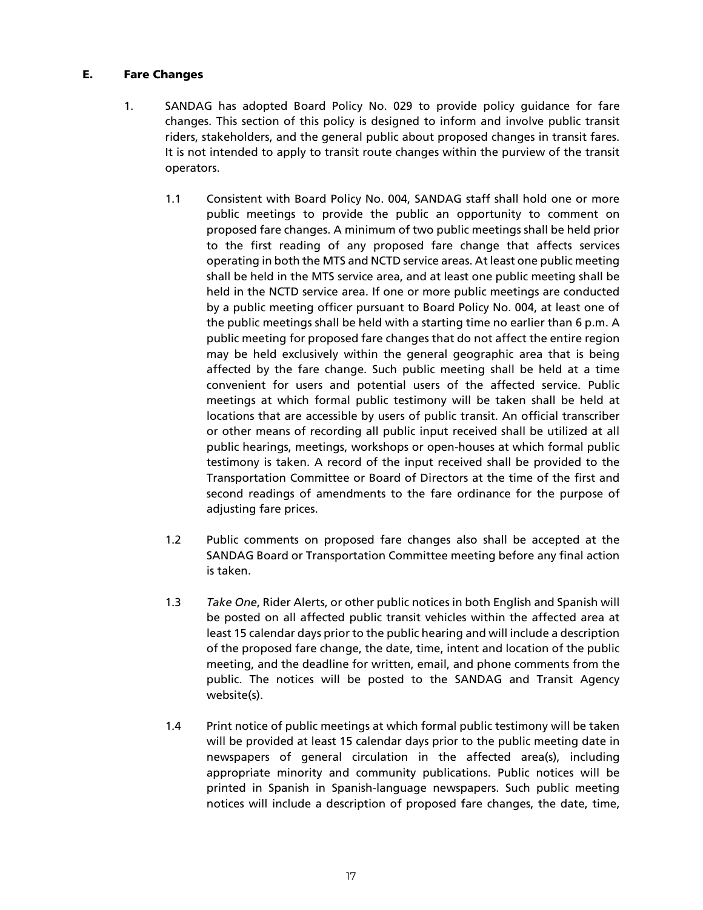#### E. Fare Changes

- 1. SANDAG has adopted Board Policy No. 029 to provide policy guidance for fare changes. This section of this policy is designed to inform and involve public transit riders, stakeholders, and the general public about proposed changes in transit fares. It is not intended to apply to transit route changes within the purview of the transit operators.
	- 1.1 Consistent with Board Policy No. 004, SANDAG staff shall hold one or more public meetings to provide the public an opportunity to comment on proposed fare changes. A minimum of two public meetings shall be held prior to the first reading of any proposed fare change that affects services operating in both the MTS and NCTD service areas. At least one public meeting shall be held in the MTS service area, and at least one public meeting shall be held in the NCTD service area. If one or more public meetings are conducted by a public meeting officer pursuant to Board Policy No. 004, at least one of the public meetings shall be held with a starting time no earlier than 6 p.m. A public meeting for proposed fare changes that do not affect the entire region may be held exclusively within the general geographic area that is being affected by the fare change. Such public meeting shall be held at a time convenient for users and potential users of the affected service. Public meetings at which formal public testimony will be taken shall be held at locations that are accessible by users of public transit. An official transcriber or other means of recording all public input received shall be utilized at all public hearings, meetings, workshops or open-houses at which formal public testimony is taken. A record of the input received shall be provided to the Transportation Committee or Board of Directors at the time of the first and second readings of amendments to the fare ordinance for the purpose of adjusting fare prices.
	- 1.2 Public comments on proposed fare changes also shall be accepted at the SANDAG Board or Transportation Committee meeting before any final action is taken.
	- 1.3 *Take One*, Rider Alerts, or other public notices in both English and Spanish will be posted on all affected public transit vehicles within the affected area at least 15 calendar days prior to the public hearing and will include a description of the proposed fare change, the date, time, intent and location of the public meeting, and the deadline for written, email, and phone comments from the public. The notices will be posted to the SANDAG and Transit Agency website(s).
	- 1.4 Print notice of public meetings at which formal public testimony will be taken will be provided at least 15 calendar days prior to the public meeting date in newspapers of general circulation in the affected area(s), including appropriate minority and community publications. Public notices will be printed in Spanish in Spanish-language newspapers. Such public meeting notices will include a description of proposed fare changes, the date, time,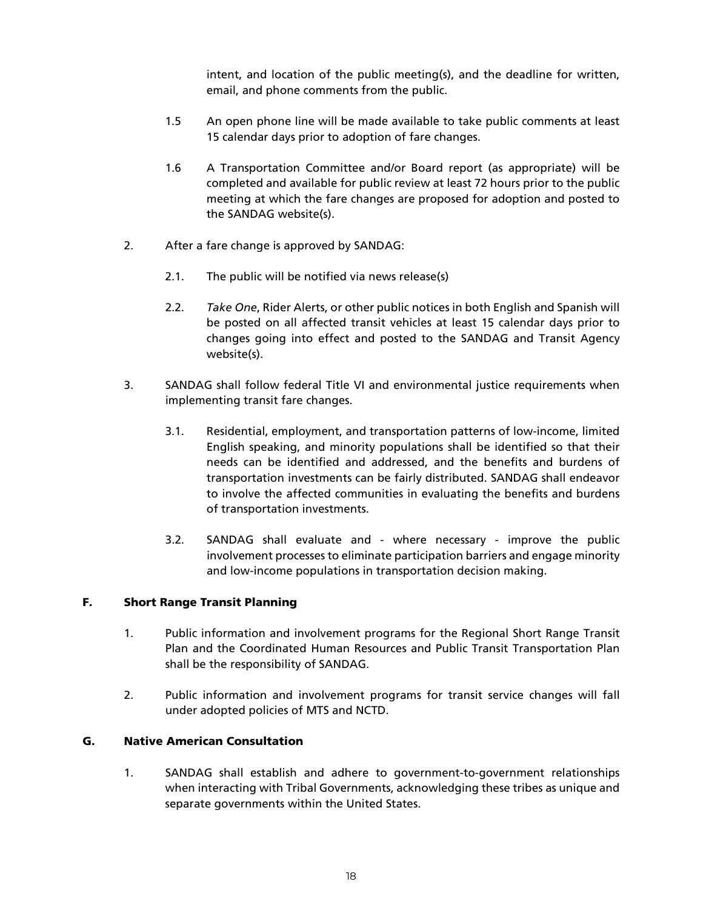intent, and location of the public meeting(s), and the deadline for written, email, and phone comments from the public.

- 1.5 An open phone line will be made available to take public comments at least 15 calendar days prior to adoption of fare changes.
- 1.6 A Transportation Committee and/or Board report (as appropriate) will be completed and available for public review at least 72 hours prior to the public meeting at which the fare changes are proposed for adoption and posted to the SANDAG website(s).
- 2. After a fare change is approved by SANDAG:
	- 2.1. The public will be notified via news release(s)
	- 2.2. *Take One*, Rider Alerts, or other public notices in both English and Spanish will be posted on all affected transit vehicles at least 15 calendar days prior to changes going into effect and posted to the SANDAG and Transit Agency website(s).
- 3. SANDAG shall follow federal Title VI and environmental justice requirements when implementing transit fare changes.
	- 3.1. Residential, employment, and transportation patterns of low-income, limited English speaking, and minority populations shall be identified so that their needs can be identified and addressed, and the benefits and burdens of transportation investments can be fairly distributed. SANDAG shall endeavor to involve the affected communities in evaluating the benefits and burdens of transportation investments.
	- 3.2. SANDAG shall evaluate and where necessary improve the public involvement processes to eliminate participation barriers and engage minority and low-income populations in transportation decision making.

#### F. Short Range Transit Planning

- 1. Public information and involvement programs for the Regional Short Range Transit Plan and the Coordinated Human Resources and Public Transit Transportation Plan shall be the responsibility of SANDAG.
- 2. Public information and involvement programs for transit service changes will fall under adopted policies of MTS and NCTD.

#### G. Native American Consultation

1. SANDAG shall establish and adhere to government-to-government relationships when interacting with Tribal Governments, acknowledging these tribes as unique and separate governments within the United States.